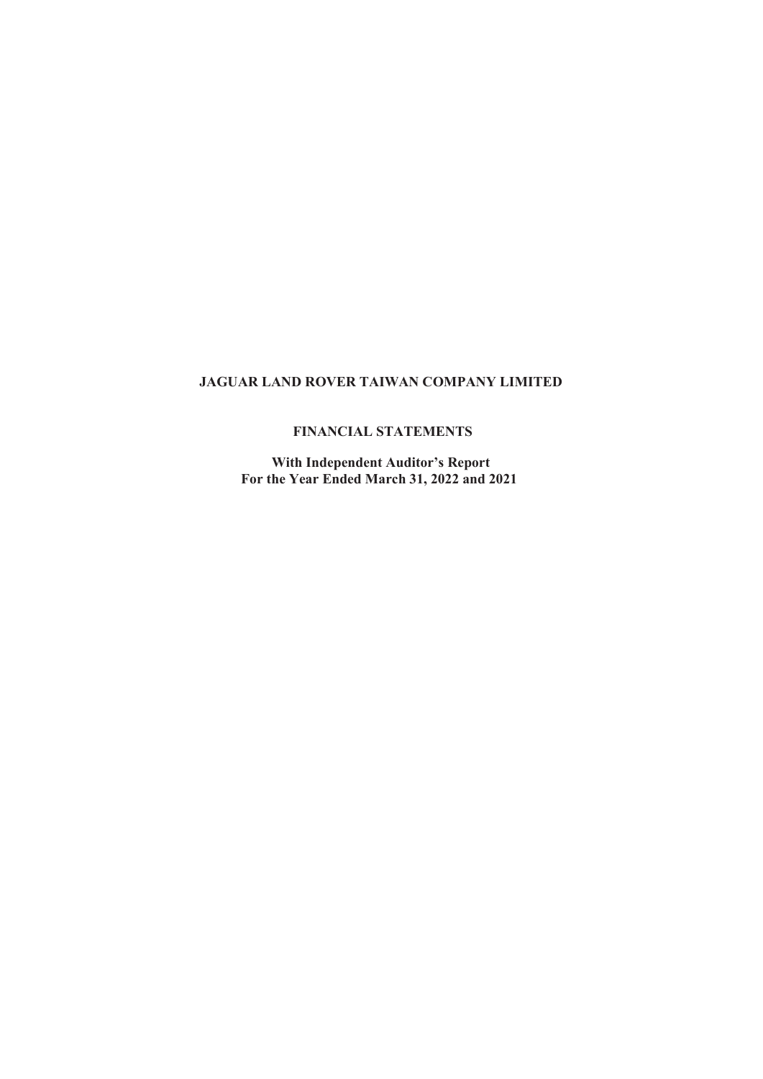## FINANCIAL STATEMENTS

With Independent Auditor's Report For the Year Ended March 31, 2022 and 2021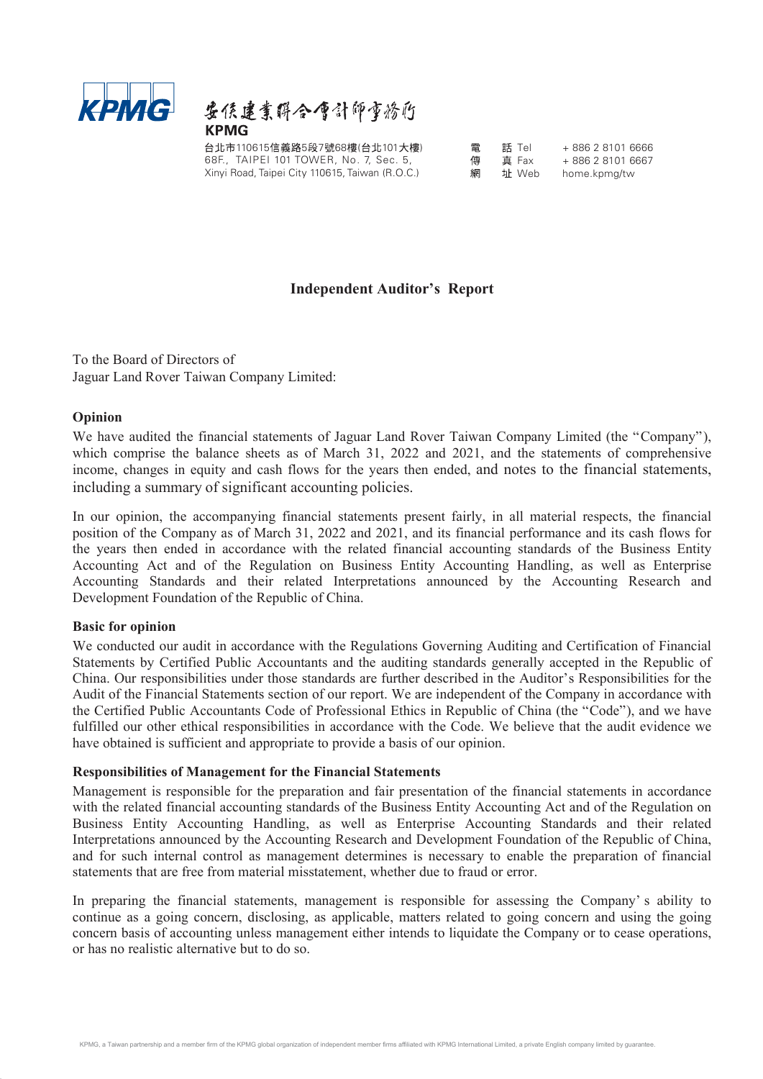

台北市110615信義路5段7號68樓(台北101大樓) 電 話 Tel + 886 2 8101 6666 68F., TAIPEI 101 TOWER, No. 7, Sec. 5, Xinyi Road, Taipei City 110615, Taiwan (R.O.C.)

真 Fax + 886 2 8101 6667 址 Web home.kpmg/tw

## **Independent Auditor's Report**

To the Board of Directors of Jaguar Land Rover Taiwan Company Limited:

#### Opinion

**KPINIG:**  $\&$  **Example 1**<br> **KPINIS**<br> **KPINIS**<br> **EXERCITED TO TOWER, No. 7. Sec. 5. 4. <b>4. ALIPED 100** TOWER, No. 7. Sec. 5. 4. **4. ALIPED 100** TOWER, No. 7. Sec. 5. 4. **4. ALIPED 100** TOWER, No. 7. Sec. 5. 4. **4.** which comprise the balance sheets as of March 31, 2022 and 2021, and the statements of comprehensive income, changes in equity and cash flows for the years then ended, and notes to the financial statements, including a summary of significant accounting policies.

In our opinion, the accompanying financial statements present fairly, in all material respects, the financial position of the Company as of March 31, 2022 and 2021, and its financial performance and its cash flows for the years then ended in accordance with the related financial accounting standards of the Business Entity Accounting Act and of the Regulation on Business Entity Accounting Handling, as well as Enterprise Accounting Standards and their related Interpretations announced by the Accounting Research and Development Foundation of the Republic of China.

#### Basic for opinion

We conducted our audit in accordance with the Regulations Governing Auditing and Certification of Financial Statements by Certified Public Accountants and the auditing standards generally accepted in the Republic of China. Our responsibilities under those standards are further described in the Auditor's Responsibilities for the Audit of the Financial Statements section of our report. We are independent of the Company in accordance with the Certified Public Accountants Code of Professional Ethics in Republic of China (the "Code"), and we have fulfilled our other ethical responsibilities in accordance with the Code. We believe that the audit evidence we have obtained is sufficient and appropriate to provide a basis of our opinion. Assemanty of the related fundral statements, management for the financial statements, many included by the Accounting Research and Development Foundation of the Republic of China.<br> **Rasic for ophion**<br>
We conducted our audi

#### Responsibilities of Management for the Financial Statements

Management is responsible for the preparation and fair presentation of the financial statements in accordance with the related financial accounting standards of the Business Entity Accounting Act and of the Regulation on Business Entity Accounting Handling, as well as Enterprise Accounting Standards and their related Interpretations announced by the Accounting Research and Development Foundation of the Republic of China, and for such internal control as management determines is necessary to enable the preparation of financial statements that are free from material misstatement, whether due to fraud or error.

continue as a going concern, disclosing, as applicable, matters related to going concern and using the going concern basis of accounting unless management either intends to liquidate the Company or to cease operations, or has no realistic alternative but to do so.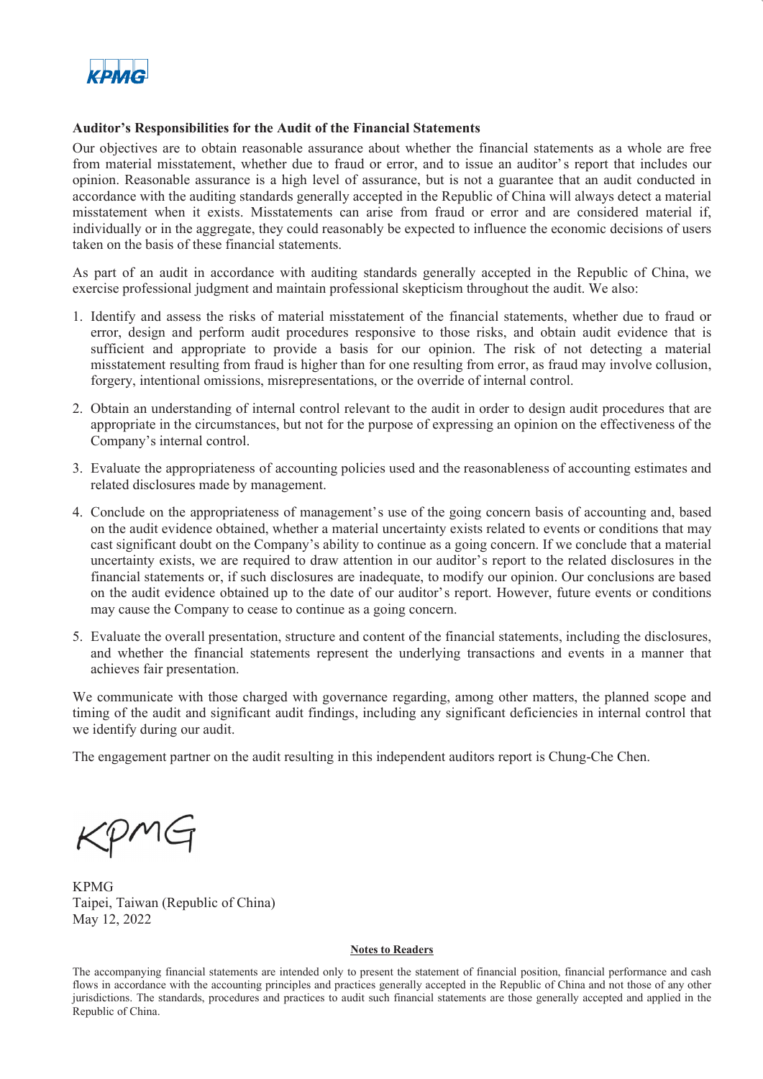

#### Auditor's Responsibilities for the Audit of the Financial Statements

Our objectives are to obtain reasonable assurance about whether the financial statements as a whole are free from material misstatement, whether due to fraud or error, and to issue an auditor's report that includes our opinion. Reasonable assurance is a high level of assurance, but is not a guarantee that an audit conducted in accordance with the auditing standards generally accepted in the Republic of China will always detect a material misstatement when it exists. Misstatements can arise from fraud or error and are considered material if, individually or in the aggregate, they could reasonably be expected to influence the economic decisions of users taken on the basis of these financial statements. **ACPIAC**<br> **Auditor's Responsibilities for the Audit of the Financial Statements**<br>
Our objectives are to obtain resonable assurance about whether the financial statements as a whole are free<br>
Orion material misstatement, wh **EXPIVICE**<br> **Anditor's Responsibilities for the Andit of the Financial Statements**<br>
Our objectives are to obtain reasonable assurance about whether the financial statements as a whole are from<br>
metrical missiatement, whet Our objectives are to obtain reasonable assurance about whether the financial statements, as a whole are frequently mistatement, whether due to fraud or error, and to issue an audition of seropritati includes or more in a

As part of an audit in accordance with auditing standards generally accepted in the Republic of China, we exercise professional judgment and maintain professional skepticism throughout the audit. We also:

- error, design and perform audit procedures responsive to those risks, and obtain audit evidence that is sufficient and appropriate to provide a basis for our opinion. The risk of not detecting a material misstatement resulting from fraud is higher than for one resulting from error, as fraud may involve collusion, forgery, intentional omissions, misrepresentations, or the override of internal control.
- appropriate in the circumstances, but not for the purpose of expressing an opinion on the effectiveness of the Company's internal control.
- related disclosures made by management.
- opmont. Resamatore is a map rever or assummed. Our is not a guarantee that maturiconate and the auditing standards generally accepted in the Republic of China will always detect a material misstatement when it exists. Miss on the audit evidence obtained, whether a material uncertainty exists related to events or conditions that may cast significant doubt on the Companys ability to continue as a going concern. If we conclude that a material uncertainty exists, we are required to draw attention in our auditor's report to the related disclosures in the financial statements or, if such disclosures are inadequate, to modify our opinion. Our conclusions are based on the audit evidence obtained up to the date of our auditor's report. However, future events or conditions may cause the Company to cease to continue as a going concern. 1. Identify and assess the risks of material misstatement of the financial statements, whether due to fraud or error, design and perform and proprime to those risks, and obtain and revidence that is sufficient and appropr
- and whether the financial statements represent the underlying transactions and events in a manner that achieves fair presentation.

We communicate with those charged with governance regarding, among other matters, the planned scope and timing of the audit and significant audit findings, including any significant deficiencies in internal control that we identify during our audit.

The engagement partner on the audit resulting in this independent auditors report is Chung-Che Chen.

MG

KPMG Taipei, Taiwan (Republic of China) May 12, 2022

#### Notes to Readers

The accompanying financial statements are intended only to present the statement of financial position, financial performance and cash flows in accordance with the accounting principles and practices generally accepted in the Republic of China and not those of any other jurisdictions. The standards, procedures and practices to audit such financial statements are those generally accepted and applied in the Republic of China.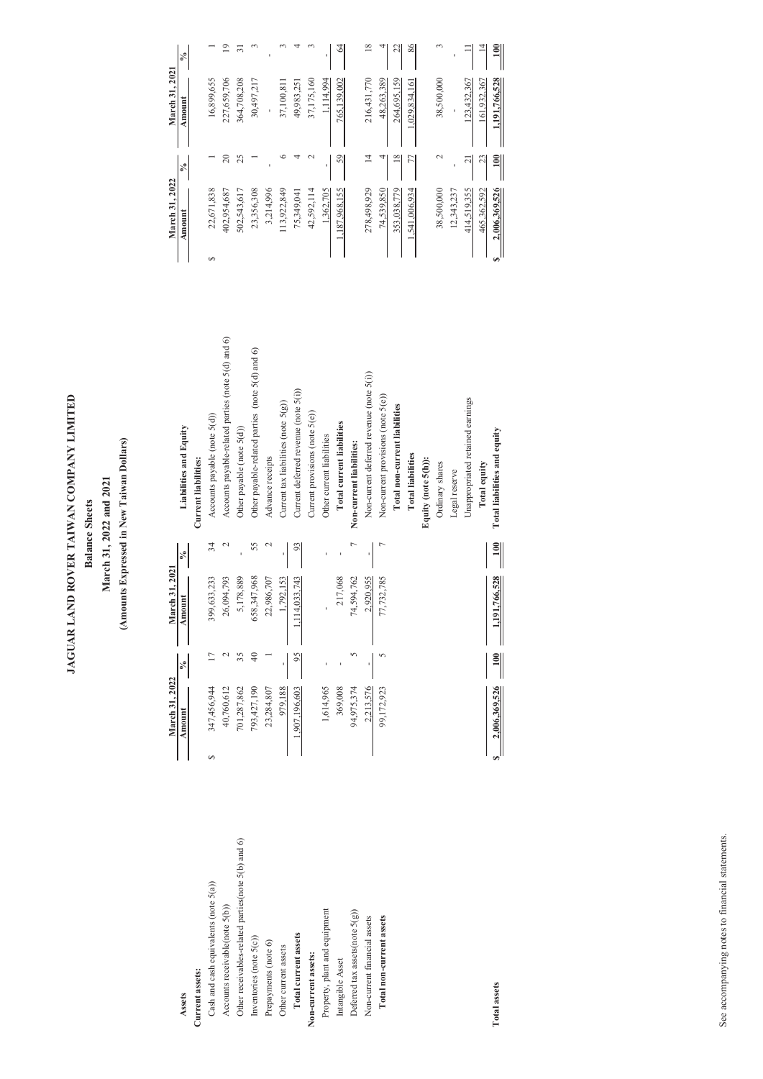| $86$<br>$\overline{19}$<br>$\overline{31}$<br>$\omega$<br>4<br>64<br>$18\,$<br>$\omega$<br>$\frac{100}{2}$<br>$\overline{\phantom{0}}$<br>$\epsilon$<br>3<br>4<br>22<br>$\equiv$<br>긔<br>$\frac{5}{6}$<br>March 31, 2021<br>16,899,655<br>227,659,706<br>364,708,208<br>30,497,217<br>37,175,160<br>216,431,770<br>48.263.389<br>38,500,000<br>123,432,367<br>1,191,766,528<br>37,100,811<br>49,983,251<br>1,114,994<br>264,695,159<br>765,139,002<br>1,029,834,161<br>161,932,367<br>Amount<br>$20\,$<br>25<br>$\circ$<br>59<br>$\frac{8}{18}$<br>$\frac{100}{2}$<br>4<br>$\sim$<br>$\overline{4}$<br>4<br>77<br>$\sim$<br>23<br>$\overline{\phantom{0}}$<br>$\overline{21}$<br>$\frac{1}{2}$<br>March 31, 2022<br>402,954,687<br>23,356,308<br>3,214,996<br>113,922,849<br>38,500,000<br>22,671,838<br>502,543,617<br>42,592,114<br>74.539.850<br>2,006,369,526<br>75,349,041<br>1,362,705<br>1,187,968,155<br>278,498,929<br>353,038,779<br>1,541,006,934<br>414,519,355<br>12,343,237<br>465,362,592<br>Amount<br>⊖ອ່<br>$\Theta$<br>Accounts payable-related parties (note 5(d) and 6)<br>Other payable-related parties (note 5(d) and 6)<br>Non-current deferred revenue (note 5(i))<br>Current deferred revenue (note 5(i))<br>Non-current provisions (note 5(e))<br>Unappropriated retained earnings<br>Current tax liabilities (note 5(g))<br>Total non-current liabilities<br>Current provisions (note 5(e))<br>Accounts payable (note 5(d))<br>Total current liabilities<br>Liabilities and Equity<br>Other payable (note $\mathfrak{H}(\mathbf{d}))$<br>Total liabilities and equity<br>Other current liabilities<br>Non-current liabilities:<br><b>Total liabilities</b><br>Advance receipts<br>Equity (note 5(h)):<br>Current liabilities:<br>Ordinary shares<br>Total equity<br>Legal reserve<br>34<br>55<br>$\sim$<br>$\overline{a}$<br>$\begin{array}{c} \hline \text{min} \\ \hline \text{min} \end{array}$<br>$\mathcal{L}$<br>93<br>$\overline{r}$<br>$\bar{1}$<br>∣∗<br>ı,<br>$\,$<br>March 31, 2021<br>77,732,785<br>1,191,766,528<br>658,347,968<br>399,633,233<br>26,094,793<br>5,178,889<br>22,986,707<br>1,114,033,743<br>74,594,762<br>2,920,955<br>1,792,153<br>217,068<br>Amount<br>$\blacksquare$<br>$\circ$<br>$\begin{array}{c}\n 0 \\  \hline\n 0\n \end{array}$<br>$40$<br>$\overline{\phantom{0}}$<br>$\frac{95}{5}$<br>$\tilde{2}$<br>35<br>$\frac{1}{\sqrt{6}}$<br>$\Box$<br>$\mathbb{C}$<br>$\blacksquare$<br>March 31, 2022<br>2,006,369,526<br>793,427,190<br>94,975,374<br>23,284,807<br>1,614,965<br>369,008<br>99,172,923<br>347,456,944<br>40,760,612<br>701,287,862<br>979,188<br>1,907,196,603<br>2,213,576<br>Amount<br>اا ہ<br>$\leftrightarrow$<br>See accompanying notes to financial statements.<br>and $6$<br>Other receivables-related parties(note 5(b)<br>Cash and cash equivalents (note 5(a))<br>Accounts receivable(note 5(b))<br>Property, plant and equipment<br>Deferred tax assets(note 5(g))<br>Non-current financial assets<br>Total non-current assets<br>Total current assets<br>Inventories (note 5(c))<br>Prepayments (note 6)<br>Other current assets<br>Non-current assets:<br>Intangible Asset<br>Current assets:<br><b>Total assets</b><br>Assets | (Amounts Expressed in New Taiwan Dollars)<br>March 31, 2022 and 2021<br><b>Balance Sheets</b> |  |
|---------------------------------------------------------------------------------------------------------------------------------------------------------------------------------------------------------------------------------------------------------------------------------------------------------------------------------------------------------------------------------------------------------------------------------------------------------------------------------------------------------------------------------------------------------------------------------------------------------------------------------------------------------------------------------------------------------------------------------------------------------------------------------------------------------------------------------------------------------------------------------------------------------------------------------------------------------------------------------------------------------------------------------------------------------------------------------------------------------------------------------------------------------------------------------------------------------------------------------------------------------------------------------------------------------------------------------------------------------------------------------------------------------------------------------------------------------------------------------------------------------------------------------------------------------------------------------------------------------------------------------------------------------------------------------------------------------------------------------------------------------------------------------------------------------------------------------------------------------------------------------------------------------------------------------------------------------------------------------------------------------------------------------------------------------------------------------------------------------------------------------------------------------------------------------------------------------------------------------------------------------------------------------------------------------------------------------------------------------------------------------------------------------------------------------------------------------------------------------------------------------------------------------------------------------------------------------------------------------------------------------------------------------------------------------------------------------------------------------------------------------------------------------------------------------------------------------------------------------------------------------------------------------------------------------------------------------------------------------------------------------------------------------------------------------------------------------------------------------------------------------------------------------------------------------------------------------------------------|-----------------------------------------------------------------------------------------------|--|
|                                                                                                                                                                                                                                                                                                                                                                                                                                                                                                                                                                                                                                                                                                                                                                                                                                                                                                                                                                                                                                                                                                                                                                                                                                                                                                                                                                                                                                                                                                                                                                                                                                                                                                                                                                                                                                                                                                                                                                                                                                                                                                                                                                                                                                                                                                                                                                                                                                                                                                                                                                                                                                                                                                                                                                                                                                                                                                                                                                                                                                                                                                                                                                                                                           |                                                                                               |  |
|                                                                                                                                                                                                                                                                                                                                                                                                                                                                                                                                                                                                                                                                                                                                                                                                                                                                                                                                                                                                                                                                                                                                                                                                                                                                                                                                                                                                                                                                                                                                                                                                                                                                                                                                                                                                                                                                                                                                                                                                                                                                                                                                                                                                                                                                                                                                                                                                                                                                                                                                                                                                                                                                                                                                                                                                                                                                                                                                                                                                                                                                                                                                                                                                                           |                                                                                               |  |
|                                                                                                                                                                                                                                                                                                                                                                                                                                                                                                                                                                                                                                                                                                                                                                                                                                                                                                                                                                                                                                                                                                                                                                                                                                                                                                                                                                                                                                                                                                                                                                                                                                                                                                                                                                                                                                                                                                                                                                                                                                                                                                                                                                                                                                                                                                                                                                                                                                                                                                                                                                                                                                                                                                                                                                                                                                                                                                                                                                                                                                                                                                                                                                                                                           |                                                                                               |  |
|                                                                                                                                                                                                                                                                                                                                                                                                                                                                                                                                                                                                                                                                                                                                                                                                                                                                                                                                                                                                                                                                                                                                                                                                                                                                                                                                                                                                                                                                                                                                                                                                                                                                                                                                                                                                                                                                                                                                                                                                                                                                                                                                                                                                                                                                                                                                                                                                                                                                                                                                                                                                                                                                                                                                                                                                                                                                                                                                                                                                                                                                                                                                                                                                                           |                                                                                               |  |
|                                                                                                                                                                                                                                                                                                                                                                                                                                                                                                                                                                                                                                                                                                                                                                                                                                                                                                                                                                                                                                                                                                                                                                                                                                                                                                                                                                                                                                                                                                                                                                                                                                                                                                                                                                                                                                                                                                                                                                                                                                                                                                                                                                                                                                                                                                                                                                                                                                                                                                                                                                                                                                                                                                                                                                                                                                                                                                                                                                                                                                                                                                                                                                                                                           |                                                                                               |  |
|                                                                                                                                                                                                                                                                                                                                                                                                                                                                                                                                                                                                                                                                                                                                                                                                                                                                                                                                                                                                                                                                                                                                                                                                                                                                                                                                                                                                                                                                                                                                                                                                                                                                                                                                                                                                                                                                                                                                                                                                                                                                                                                                                                                                                                                                                                                                                                                                                                                                                                                                                                                                                                                                                                                                                                                                                                                                                                                                                                                                                                                                                                                                                                                                                           |                                                                                               |  |
|                                                                                                                                                                                                                                                                                                                                                                                                                                                                                                                                                                                                                                                                                                                                                                                                                                                                                                                                                                                                                                                                                                                                                                                                                                                                                                                                                                                                                                                                                                                                                                                                                                                                                                                                                                                                                                                                                                                                                                                                                                                                                                                                                                                                                                                                                                                                                                                                                                                                                                                                                                                                                                                                                                                                                                                                                                                                                                                                                                                                                                                                                                                                                                                                                           |                                                                                               |  |
|                                                                                                                                                                                                                                                                                                                                                                                                                                                                                                                                                                                                                                                                                                                                                                                                                                                                                                                                                                                                                                                                                                                                                                                                                                                                                                                                                                                                                                                                                                                                                                                                                                                                                                                                                                                                                                                                                                                                                                                                                                                                                                                                                                                                                                                                                                                                                                                                                                                                                                                                                                                                                                                                                                                                                                                                                                                                                                                                                                                                                                                                                                                                                                                                                           |                                                                                               |  |
|                                                                                                                                                                                                                                                                                                                                                                                                                                                                                                                                                                                                                                                                                                                                                                                                                                                                                                                                                                                                                                                                                                                                                                                                                                                                                                                                                                                                                                                                                                                                                                                                                                                                                                                                                                                                                                                                                                                                                                                                                                                                                                                                                                                                                                                                                                                                                                                                                                                                                                                                                                                                                                                                                                                                                                                                                                                                                                                                                                                                                                                                                                                                                                                                                           |                                                                                               |  |
|                                                                                                                                                                                                                                                                                                                                                                                                                                                                                                                                                                                                                                                                                                                                                                                                                                                                                                                                                                                                                                                                                                                                                                                                                                                                                                                                                                                                                                                                                                                                                                                                                                                                                                                                                                                                                                                                                                                                                                                                                                                                                                                                                                                                                                                                                                                                                                                                                                                                                                                                                                                                                                                                                                                                                                                                                                                                                                                                                                                                                                                                                                                                                                                                                           |                                                                                               |  |
|                                                                                                                                                                                                                                                                                                                                                                                                                                                                                                                                                                                                                                                                                                                                                                                                                                                                                                                                                                                                                                                                                                                                                                                                                                                                                                                                                                                                                                                                                                                                                                                                                                                                                                                                                                                                                                                                                                                                                                                                                                                                                                                                                                                                                                                                                                                                                                                                                                                                                                                                                                                                                                                                                                                                                                                                                                                                                                                                                                                                                                                                                                                                                                                                                           |                                                                                               |  |
|                                                                                                                                                                                                                                                                                                                                                                                                                                                                                                                                                                                                                                                                                                                                                                                                                                                                                                                                                                                                                                                                                                                                                                                                                                                                                                                                                                                                                                                                                                                                                                                                                                                                                                                                                                                                                                                                                                                                                                                                                                                                                                                                                                                                                                                                                                                                                                                                                                                                                                                                                                                                                                                                                                                                                                                                                                                                                                                                                                                                                                                                                                                                                                                                                           |                                                                                               |  |
|                                                                                                                                                                                                                                                                                                                                                                                                                                                                                                                                                                                                                                                                                                                                                                                                                                                                                                                                                                                                                                                                                                                                                                                                                                                                                                                                                                                                                                                                                                                                                                                                                                                                                                                                                                                                                                                                                                                                                                                                                                                                                                                                                                                                                                                                                                                                                                                                                                                                                                                                                                                                                                                                                                                                                                                                                                                                                                                                                                                                                                                                                                                                                                                                                           |                                                                                               |  |
|                                                                                                                                                                                                                                                                                                                                                                                                                                                                                                                                                                                                                                                                                                                                                                                                                                                                                                                                                                                                                                                                                                                                                                                                                                                                                                                                                                                                                                                                                                                                                                                                                                                                                                                                                                                                                                                                                                                                                                                                                                                                                                                                                                                                                                                                                                                                                                                                                                                                                                                                                                                                                                                                                                                                                                                                                                                                                                                                                                                                                                                                                                                                                                                                                           |                                                                                               |  |
|                                                                                                                                                                                                                                                                                                                                                                                                                                                                                                                                                                                                                                                                                                                                                                                                                                                                                                                                                                                                                                                                                                                                                                                                                                                                                                                                                                                                                                                                                                                                                                                                                                                                                                                                                                                                                                                                                                                                                                                                                                                                                                                                                                                                                                                                                                                                                                                                                                                                                                                                                                                                                                                                                                                                                                                                                                                                                                                                                                                                                                                                                                                                                                                                                           |                                                                                               |  |
|                                                                                                                                                                                                                                                                                                                                                                                                                                                                                                                                                                                                                                                                                                                                                                                                                                                                                                                                                                                                                                                                                                                                                                                                                                                                                                                                                                                                                                                                                                                                                                                                                                                                                                                                                                                                                                                                                                                                                                                                                                                                                                                                                                                                                                                                                                                                                                                                                                                                                                                                                                                                                                                                                                                                                                                                                                                                                                                                                                                                                                                                                                                                                                                                                           |                                                                                               |  |
|                                                                                                                                                                                                                                                                                                                                                                                                                                                                                                                                                                                                                                                                                                                                                                                                                                                                                                                                                                                                                                                                                                                                                                                                                                                                                                                                                                                                                                                                                                                                                                                                                                                                                                                                                                                                                                                                                                                                                                                                                                                                                                                                                                                                                                                                                                                                                                                                                                                                                                                                                                                                                                                                                                                                                                                                                                                                                                                                                                                                                                                                                                                                                                                                                           |                                                                                               |  |
|                                                                                                                                                                                                                                                                                                                                                                                                                                                                                                                                                                                                                                                                                                                                                                                                                                                                                                                                                                                                                                                                                                                                                                                                                                                                                                                                                                                                                                                                                                                                                                                                                                                                                                                                                                                                                                                                                                                                                                                                                                                                                                                                                                                                                                                                                                                                                                                                                                                                                                                                                                                                                                                                                                                                                                                                                                                                                                                                                                                                                                                                                                                                                                                                                           |                                                                                               |  |
|                                                                                                                                                                                                                                                                                                                                                                                                                                                                                                                                                                                                                                                                                                                                                                                                                                                                                                                                                                                                                                                                                                                                                                                                                                                                                                                                                                                                                                                                                                                                                                                                                                                                                                                                                                                                                                                                                                                                                                                                                                                                                                                                                                                                                                                                                                                                                                                                                                                                                                                                                                                                                                                                                                                                                                                                                                                                                                                                                                                                                                                                                                                                                                                                                           |                                                                                               |  |
|                                                                                                                                                                                                                                                                                                                                                                                                                                                                                                                                                                                                                                                                                                                                                                                                                                                                                                                                                                                                                                                                                                                                                                                                                                                                                                                                                                                                                                                                                                                                                                                                                                                                                                                                                                                                                                                                                                                                                                                                                                                                                                                                                                                                                                                                                                                                                                                                                                                                                                                                                                                                                                                                                                                                                                                                                                                                                                                                                                                                                                                                                                                                                                                                                           |                                                                                               |  |
|                                                                                                                                                                                                                                                                                                                                                                                                                                                                                                                                                                                                                                                                                                                                                                                                                                                                                                                                                                                                                                                                                                                                                                                                                                                                                                                                                                                                                                                                                                                                                                                                                                                                                                                                                                                                                                                                                                                                                                                                                                                                                                                                                                                                                                                                                                                                                                                                                                                                                                                                                                                                                                                                                                                                                                                                                                                                                                                                                                                                                                                                                                                                                                                                                           |                                                                                               |  |
|                                                                                                                                                                                                                                                                                                                                                                                                                                                                                                                                                                                                                                                                                                                                                                                                                                                                                                                                                                                                                                                                                                                                                                                                                                                                                                                                                                                                                                                                                                                                                                                                                                                                                                                                                                                                                                                                                                                                                                                                                                                                                                                                                                                                                                                                                                                                                                                                                                                                                                                                                                                                                                                                                                                                                                                                                                                                                                                                                                                                                                                                                                                                                                                                                           |                                                                                               |  |
|                                                                                                                                                                                                                                                                                                                                                                                                                                                                                                                                                                                                                                                                                                                                                                                                                                                                                                                                                                                                                                                                                                                                                                                                                                                                                                                                                                                                                                                                                                                                                                                                                                                                                                                                                                                                                                                                                                                                                                                                                                                                                                                                                                                                                                                                                                                                                                                                                                                                                                                                                                                                                                                                                                                                                                                                                                                                                                                                                                                                                                                                                                                                                                                                                           |                                                                                               |  |
|                                                                                                                                                                                                                                                                                                                                                                                                                                                                                                                                                                                                                                                                                                                                                                                                                                                                                                                                                                                                                                                                                                                                                                                                                                                                                                                                                                                                                                                                                                                                                                                                                                                                                                                                                                                                                                                                                                                                                                                                                                                                                                                                                                                                                                                                                                                                                                                                                                                                                                                                                                                                                                                                                                                                                                                                                                                                                                                                                                                                                                                                                                                                                                                                                           |                                                                                               |  |
|                                                                                                                                                                                                                                                                                                                                                                                                                                                                                                                                                                                                                                                                                                                                                                                                                                                                                                                                                                                                                                                                                                                                                                                                                                                                                                                                                                                                                                                                                                                                                                                                                                                                                                                                                                                                                                                                                                                                                                                                                                                                                                                                                                                                                                                                                                                                                                                                                                                                                                                                                                                                                                                                                                                                                                                                                                                                                                                                                                                                                                                                                                                                                                                                                           |                                                                                               |  |
|                                                                                                                                                                                                                                                                                                                                                                                                                                                                                                                                                                                                                                                                                                                                                                                                                                                                                                                                                                                                                                                                                                                                                                                                                                                                                                                                                                                                                                                                                                                                                                                                                                                                                                                                                                                                                                                                                                                                                                                                                                                                                                                                                                                                                                                                                                                                                                                                                                                                                                                                                                                                                                                                                                                                                                                                                                                                                                                                                                                                                                                                                                                                                                                                                           |                                                                                               |  |
|                                                                                                                                                                                                                                                                                                                                                                                                                                                                                                                                                                                                                                                                                                                                                                                                                                                                                                                                                                                                                                                                                                                                                                                                                                                                                                                                                                                                                                                                                                                                                                                                                                                                                                                                                                                                                                                                                                                                                                                                                                                                                                                                                                                                                                                                                                                                                                                                                                                                                                                                                                                                                                                                                                                                                                                                                                                                                                                                                                                                                                                                                                                                                                                                                           |                                                                                               |  |
|                                                                                                                                                                                                                                                                                                                                                                                                                                                                                                                                                                                                                                                                                                                                                                                                                                                                                                                                                                                                                                                                                                                                                                                                                                                                                                                                                                                                                                                                                                                                                                                                                                                                                                                                                                                                                                                                                                                                                                                                                                                                                                                                                                                                                                                                                                                                                                                                                                                                                                                                                                                                                                                                                                                                                                                                                                                                                                                                                                                                                                                                                                                                                                                                                           |                                                                                               |  |
|                                                                                                                                                                                                                                                                                                                                                                                                                                                                                                                                                                                                                                                                                                                                                                                                                                                                                                                                                                                                                                                                                                                                                                                                                                                                                                                                                                                                                                                                                                                                                                                                                                                                                                                                                                                                                                                                                                                                                                                                                                                                                                                                                                                                                                                                                                                                                                                                                                                                                                                                                                                                                                                                                                                                                                                                                                                                                                                                                                                                                                                                                                                                                                                                                           |                                                                                               |  |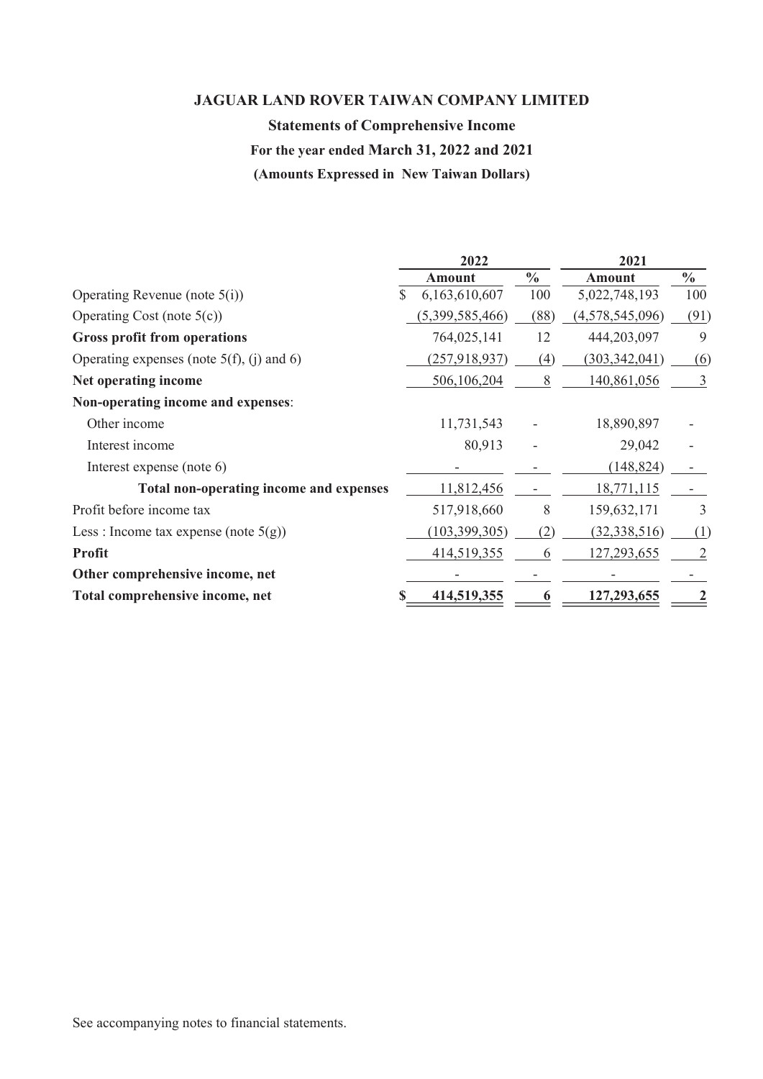# Statements of Comprehensive Income

# For the year ended March 31, 2022 and 2021

| <b>JAGUAR LAND ROVER TAIWAN COMPANY LIMITED</b> |                               |                          |                 |               |
|-------------------------------------------------|-------------------------------|--------------------------|-----------------|---------------|
| <b>Statements of Comprehensive Income</b>       |                               |                          |                 |               |
| For the year ended March 31, 2022 and 2021      |                               |                          |                 |               |
| (Amounts Expressed in New Taiwan Dollars)       |                               |                          |                 |               |
|                                                 |                               |                          |                 |               |
|                                                 |                               |                          |                 |               |
|                                                 | 2022                          |                          | 2021            |               |
|                                                 | <b>Amount</b>                 | $\frac{0}{0}$            | <b>Amount</b>   | $\frac{0}{0}$ |
| Operating Revenue (note 5(i))                   | 6,163,610,607<br><sup>8</sup> | 100                      | 5,022,748,193   | 100           |
| Operating Cost (note 5(c))                      | (5,399,585,466)               | (88)                     | (4,578,545,096) | (91)          |
| <b>Gross profit from operations</b>             | 764,025,141                   | 12                       | 444,203,097     | 9             |
| Operating expenses (note $5(f)$ , (j) and 6)    | (257, 918, 937)               | (4)                      | (303, 342, 041) | (6)           |
| Net operating income                            | 506,106,204                   | 8                        | 140,861,056     | 3             |
| Non-operating income and expenses:              |                               |                          |                 |               |
| Other income                                    | 11,731,543                    |                          | 18,890,897      |               |
| Interest income                                 | 80,913                        |                          | 29,042          |               |
| Interest expense (note 6)                       |                               |                          | (148, 824)      |               |
| Total non-operating income and expenses         | 11,812,456                    | $\overline{\phantom{a}}$ | 18,771,115      | $\sim$        |
| Profit before income tax                        | 517,918,660                   | $8\,$                    | 159,632,171     | 3             |
| Less : Income tax expense (note $5(g)$ )        | (103, 399, 305)               | (2)                      | (32, 338, 516)  | (1)           |
| Profit                                          | 414,519,355                   | 6                        | 127,293,655     |               |
| Other comprehensive income, net                 |                               |                          |                 |               |
| Total comprehensive income, net                 | 414,519,355                   | $\boldsymbol{\theta}$    | 127,293,655     |               |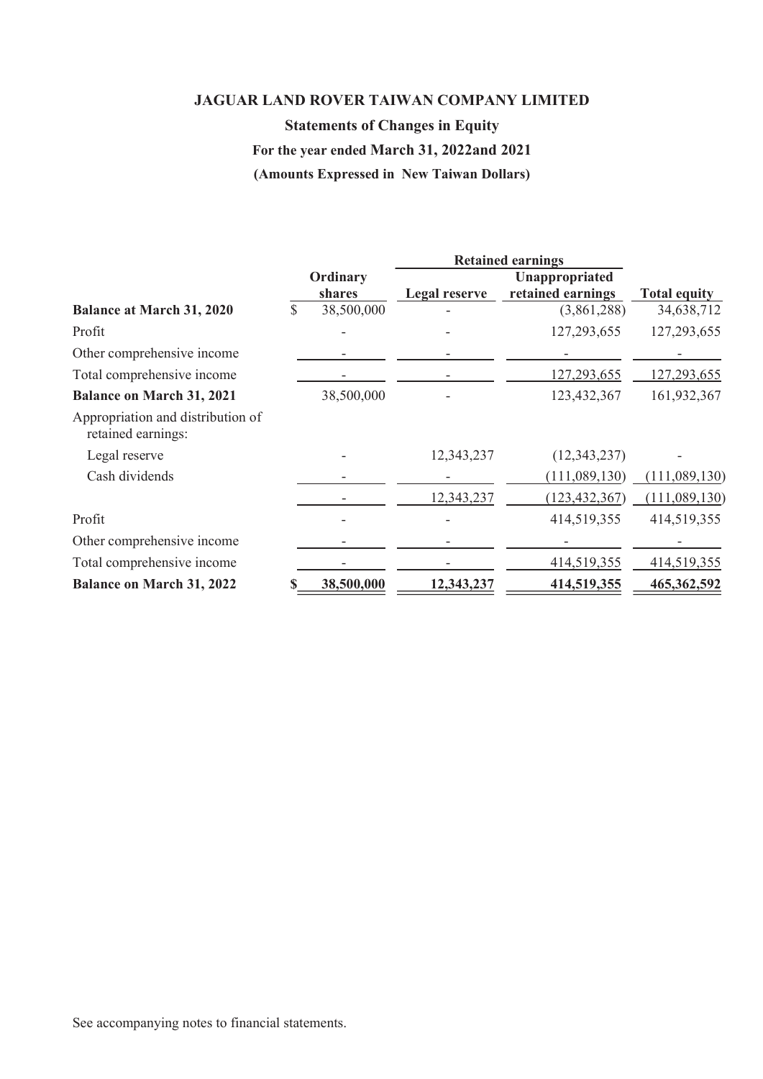# Statements of Changes in Equity

# For the year ended March 31, 2022and 2021

|                                                         |                    | <b>Statements of Changes in Equity</b><br>For the year ended March 31, 2022and 2021 | <b>JAGUAR LAND ROVER TAIWAN COMPANY LIMITED</b> |                          |
|---------------------------------------------------------|--------------------|-------------------------------------------------------------------------------------|-------------------------------------------------|--------------------------|
|                                                         |                    | (Amounts Expressed in New Taiwan Dollars)                                           |                                                 |                          |
|                                                         |                    |                                                                                     | <b>Retained earnings</b>                        |                          |
|                                                         | Ordinary<br>shares | <b>Legal reserve</b>                                                                | Unappropriated<br>retained earnings             | <b>Total equity</b>      |
| <b>Balance at March 31, 2020</b>                        | \$<br>38,500,000   |                                                                                     | (3,861,288)                                     | 34,638,712               |
| Profit                                                  |                    |                                                                                     | 127,293,655                                     | 127,293,655              |
| Other comprehensive income                              |                    |                                                                                     |                                                 |                          |
| Total comprehensive income                              |                    |                                                                                     | 127,293,655                                     | 127,293,655              |
| <b>Balance on March 31, 2021</b>                        | 38,500,000         |                                                                                     | 123,432,367                                     | 161,932,367              |
| Appropriation and distribution of<br>retained earnings: |                    |                                                                                     |                                                 |                          |
| Legal reserve                                           |                    | 12,343,237                                                                          | (12, 343, 237)                                  |                          |
| Cash dividends                                          |                    |                                                                                     | (111,089,130)                                   | (111,089,130)            |
|                                                         |                    | 12,343,237                                                                          | (123, 432, 367)                                 | (111,089,130)            |
| Profit                                                  |                    |                                                                                     | 414,519,355                                     | 414,519,355              |
| Other comprehensive income                              |                    |                                                                                     | $\overline{\phantom{a}}$                        | $\overline{\phantom{a}}$ |
| Total comprehensive income                              |                    |                                                                                     | 414,519,355                                     | 414,519,355              |
|                                                         | 38,500,000         | 12,343,237                                                                          | 414,519,355                                     | 465,362,592              |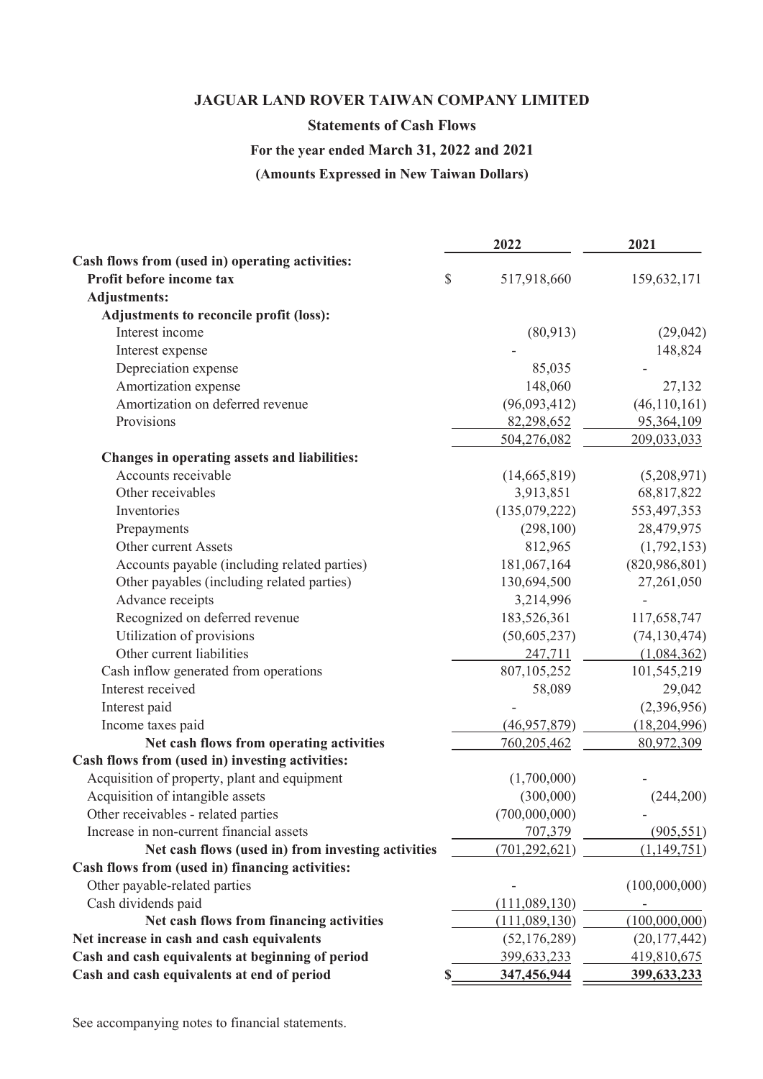## Statements of Cash Flows

# For the year ended March 31, 2022 and 2021

| <b>JAGUAR LAND ROVER TAIWAN COMPANY LIMITED</b><br><b>Statements of Cash Flows</b><br>For the year ended March 31, 2022 and 2021<br>(Amounts Expressed in New Taiwan Dollars) |                             |                              |
|-------------------------------------------------------------------------------------------------------------------------------------------------------------------------------|-----------------------------|------------------------------|
|                                                                                                                                                                               |                             |                              |
|                                                                                                                                                                               |                             |                              |
|                                                                                                                                                                               |                             |                              |
|                                                                                                                                                                               |                             |                              |
|                                                                                                                                                                               | 2022                        | 2021                         |
| Cash flows from (used in) operating activities:                                                                                                                               |                             |                              |
| Profit before income tax                                                                                                                                                      | \$<br>517,918,660           | 159,632,171                  |
| <b>Adjustments:</b><br>Adjustments to reconcile profit (loss):                                                                                                                |                             |                              |
| Interest income                                                                                                                                                               | (80,913)                    | (29,042)                     |
| Interest expense                                                                                                                                                              |                             | 148,824                      |
| Depreciation expense                                                                                                                                                          | 85,035                      |                              |
| Amortization expense                                                                                                                                                          | 148,060                     | 27,132                       |
| Amortization on deferred revenue                                                                                                                                              | (96,093,412)                | (46,110,161)                 |
| Provisions                                                                                                                                                                    | 82,298,652                  | 95,364,109                   |
|                                                                                                                                                                               | 504,276,082                 | 209,033,033                  |
| Changes in operating assets and liabilities:<br>Accounts receivable                                                                                                           | (14,665,819)                | (5,208,971)                  |
| Other receivables                                                                                                                                                             | 3,913,851                   | 68,817,822                   |
| Inventories                                                                                                                                                                   | (135,079,222)               | 553,497,353                  |
| Prepayments                                                                                                                                                                   | (298,100)                   | 28,479,975                   |
| Other current Assets                                                                                                                                                          | 812,965                     | (1,792,153)                  |
| Accounts payable (including related parties)                                                                                                                                  | 181,067,164                 | (820, 986, 801)              |
| Other payables (including related parties)                                                                                                                                    | 130,694,500                 | 27,261,050                   |
| Advance receipts                                                                                                                                                              | 3,214,996                   |                              |
| Recognized on deferred revenue                                                                                                                                                | 183,526,361                 | 117,658,747                  |
| Utilization of provisions                                                                                                                                                     | (50,605,237)                | (74, 130, 474)               |
| Other current liabilities                                                                                                                                                     | 247,711                     | (1,084,362)                  |
| Cash inflow generated from operations                                                                                                                                         | 807,105,252                 | 101,545,219                  |
| Interest received                                                                                                                                                             | 58,089                      | 29,042                       |
| Interest paid                                                                                                                                                                 |                             | (2,396,956)                  |
| Income taxes paid<br>Net cash flows from operating activities                                                                                                                 | (46,957,879)<br>760,205,462 | (18, 204, 996)<br>80,972,309 |
| Cash flows from (used in) investing activities:                                                                                                                               |                             |                              |
| Acquisition of property, plant and equipment                                                                                                                                  | (1,700,000)                 |                              |
| Acquisition of intangible assets                                                                                                                                              | (300,000)                   | (244,200)                    |
| Other receivables - related parties                                                                                                                                           | (700,000,000)               |                              |
| Increase in non-current financial assets                                                                                                                                      | 707,379                     | (905, 551)                   |
| Net cash flows (used in) from investing activities                                                                                                                            | (701, 292, 621)             | (1,149,751)                  |
| Cash flows from (used in) financing activities:                                                                                                                               |                             |                              |
| Other payable-related parties                                                                                                                                                 |                             | (100,000,000)                |
| Cash dividends paid                                                                                                                                                           | (111,089,130)               |                              |
| Net cash flows from financing activities                                                                                                                                      | (111,089,130)               | (100,000,000)                |
| Net increase in cash and cash equivalents                                                                                                                                     | (52, 176, 289)              | (20, 177, 442)               |
| Cash and cash equivalents at beginning of period                                                                                                                              | 399,633,233                 | 419,810,675<br>399,633,233   |
| Cash and cash equivalents at end of period                                                                                                                                    | 347,456,944                 |                              |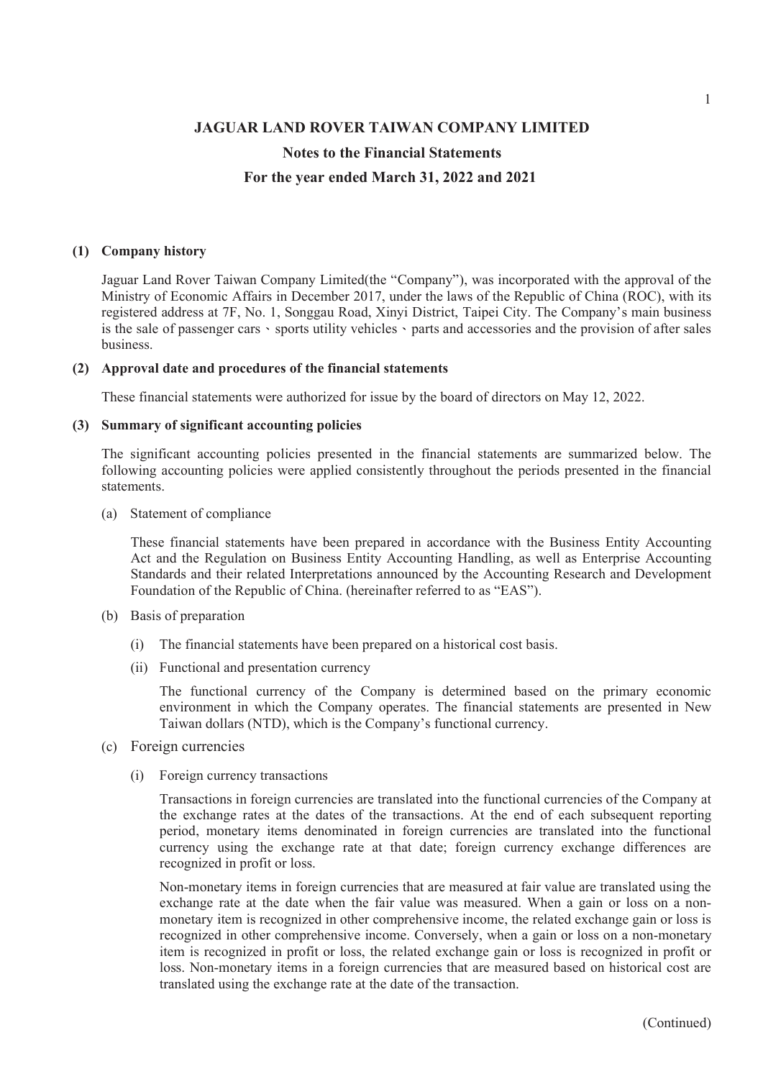#### Notes to the Financial Statements

#### For the year ended March 31, 2022 and 2021

JAGUAR LAND ROVER TAIWAN COMPANY<br>
Notes to the Financial Statements<br>
For the year ended March 31, 2022 and 20<br>
(1) Company history<br>
Jaguar Land Rover Taiwan Company Limited (the "Company"), was ince<br>
Ministry of Economic A Jaguar Land Rover Taiwan Company Limited(the "Company"), was incorporated with the approval of the Ministry of Economic Affairs in December 2017, under the laws of the Republic of China (ROC), with its registered address at 7F, No. 1, Songgau Road, Xinyi District, Taipei City. The Company's main business is the sale of passenger cars  $\cdot$  sports utility vehicles  $\cdot$  parts and accessories and the provision of after sales business. JAGUAR LAND ROVER TAIWAN COMPANY LIMITED<br>
Notes to the Financial Statements<br>
For the year ended March 31, 2022 and 2021<br>
(1) Company history<br>
Jaguar Land Rover Taiwan Company Limited(the "Company"), was incorporated with<br> **JAGUAR LAND ROVER TAIWAN COMPANY**<br>
Notes to the Financial Statements<br>
For the year ended March 31, 2022 and 20<br>
(1) Company history<br>
Jaguar Land Rover Taiwan Company Limited(the "Company"), was ince<br>
Ministry of Economic For the year entert Marten 51, 5022 and 2021<br>
Company history<br>
Maguar Land Rover Taiwan Company Limited(the "Company"), was incorpore<br>
Ministry of Economic Affairs in December 2017, under the laws of the Republist<br>
registe Source Taiwar Court and The Market Company of Economic Affairs in December 2017, under the laws of the Republe<br>registered address at 7F, No. 1, Songgau Road, Xinyi District, Taipei City. The sits the subsequence of passeng

These financial statements were authorized for issue by the board of directors on May 12, 2022.

The significant accounting policies presented in the financial statements are summarized below. The following accounting policies were applied consistently throughout the periods presented in the financial statements.

These financial statements have been prepared in accordance with the Business Entity Accounting Act and the Regulation on Business Entity Accounting Handling, as well as Enterprise Accounting Standards and their related Interpretations announced by the Accounting Research and Development Foundation of the Republic of China. (hereinafter referred to as "EAS"). erero accress at r, No. 1, Songgali Koad, Amyl District, Taipel City. The Company is main<br>state of passenger cars · sports utility vehicles · parts and accessories and the provision of a<br>roval date and procedures of the fi ess.<br>
ess.<br>
coval date and procedures of the financial statements<br>
e financial statements were authorized for issue by the board of directors on Mi<br>
marry of significant accounting policies<br>
significant accounting policies

- -
	-

The functional currency of the Company is determined based on the primary economic environment in which the Company operates. The financial statements are presented in New Taiwan dollars (NTD), which is the Company's functional currency.

- (c) Foreign currencies
	-

significant accounting policies presented in the financial statements are st<br>
sing accounting policies were applied consistently throughout the periods pre<br>
Statement of compliance<br>
These financial statements have been pre Transactions in foreign currencies are translated into the functional currencies of the Company at the exchange rates at the dates of the transactions. At the end of each subsequent reporting period, monetary items denominated in foreign currencies are translated into the functional currency using the exchange rate at that date; foreign currency exchange differences are recognized in profit or loss.

Non-monetary items in foreign currencies that are measured at fair value are translated using the exchange rate at the date when the fair value was measured. When a gain or loss on a nonmonetary item is recognized in other comprehensive income, the related exchange gain or loss is recognized in other comprehensive income. Conversely, when a gain or loss on a non-monetary item is recognized in profit or loss, the related exchange gain or loss is recognized in profit or loss. Non-monetary items in a foreign currencies that are measured based on historical cost are translated using the exchange rate at the date of the transaction.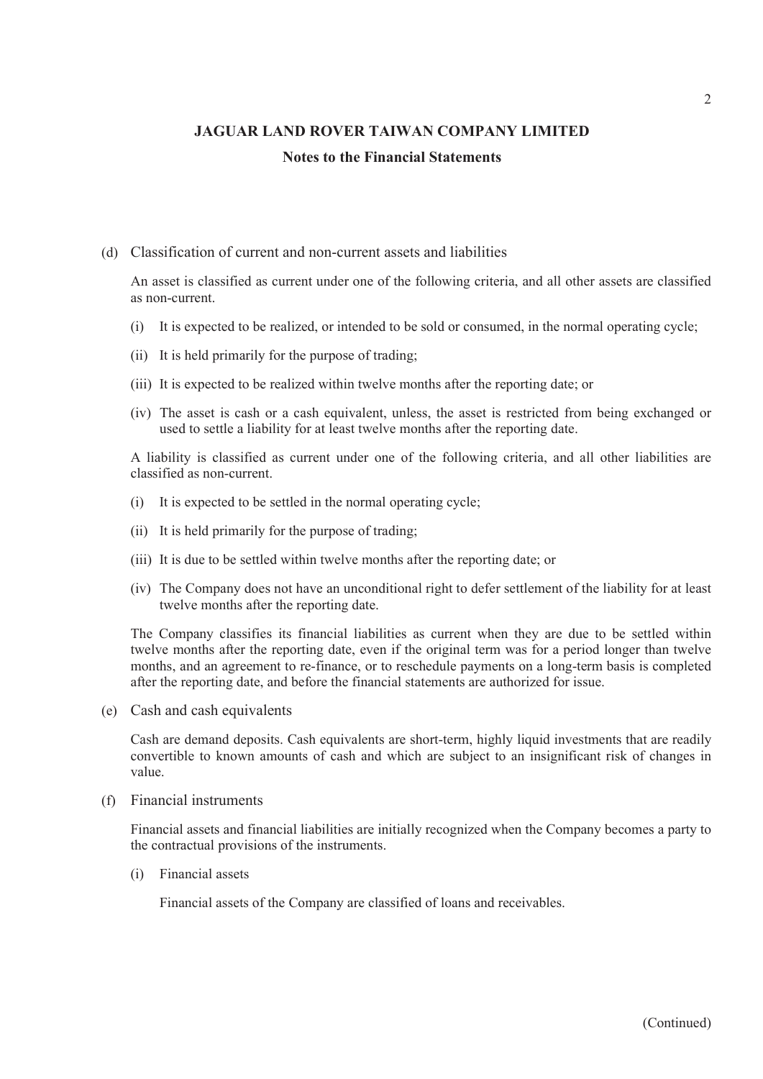# JAGUAR LAND ROVER TAIWAN COMPANY LIMITED Notes to the Financial Statements JAGUAR LAND ROVER TAIWAN COMPANY LIMITE<br>
Notes to the Financial Statements<br>
Classification of current and non-current assets and liabilities<br>
An asset is classified as current under one of the following criteria, and all o

#### (d) Classification of current and non-current assets and liabilities

An asset is classified as current under one of the following criteria, and all other assets are classified as non-current. (i) It is expected to be realized, or intended to be sold or consumed, in the normal operating expected to be realized, or intended to be sold or consumed, in the normal operating cycle;<br>(i) It is expected to be realized, (ii) It is expected to be realized within twelve months after the reporting date; or used to state in easets are classified as our current and non-current assets and liabilities An asset is classified as current under one (i) The asset is cash or a cash equivalent, unless, the asset is classification of current and non-current assets and liabilities<br>
An asset is classified as current under one of the following criteria, and all other assets Classification of current and non-current assets and liabilities<br>An asset is classified as current under one of the following criteria, and all other<br>as non-current.<br>(i) It is expected to be realized, or intended to be so Classification of current and non-current assets and liabilities<br>
An asset is classified as current under one of the following criteria, and all otl<br>
as non-current.<br>
(i) It is expected to be realized, or intended to be s Classification of current and non-current assets and liabilities<br>
An asset is classified as current under one of the following criteria, and all other assets are classi<br>
as anon-current.<br>
(i) It is expected to be realized,

- 
- 
- 
- used to settle a liability for at least twelve months after the reporting date.

A liability is classified as current under one of the following criteria, and all other liabilities are classified as non-current.

- 
- 
- 
- twelve months after the reporting date.

enassinted on tearter and toor canter above and homited.<br>
An asset is classified as current under one of the following criteria, and all other assets are classified<br>
(i) It is expected to be realized , or intended to be so The Company classifies its financial liabilities as current when they are due to be settled within twelve months after the reporting date, even if the original term was for a period longer than twelve months, and an agreement to re-finance, or to reschedule payments on a long-term basis is completed after the reporting date, and before the financial statements are authorized for issue. (iii) It is due to be settled within twelve months after the reporting date; or<br>(iv) The Company does not have an unconditional right to defer settlement of<br>twelve months after the reporting date.<br>The Company classifies i

(e) Cash and cash equivalents

Cash are demand deposits. Cash equivalents are short-term, highly liquid investments that are readily convertible to known amounts of cash and which are subject to an insignificant risk of changes in value.

(f) Financial instruments

Financial assets and financial liabilities are initially recognized when the Company becomes a party to the contractual provisions of the instruments.

Financial assets of the Company are classified of loans and receivables.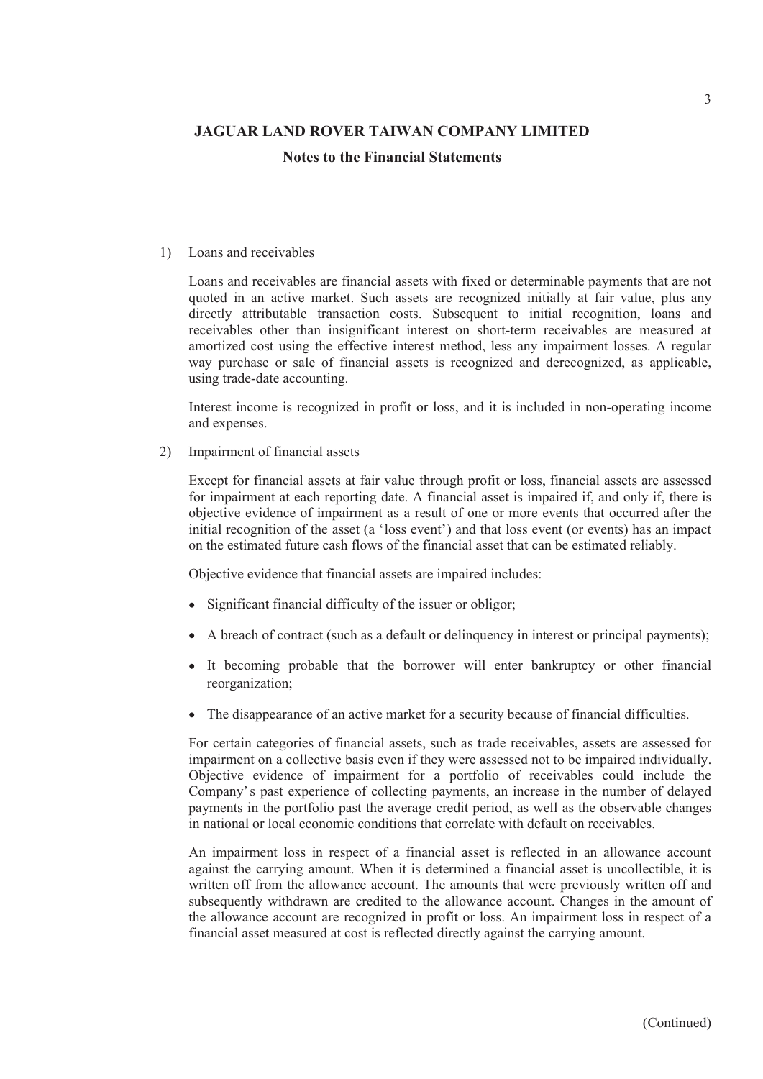**JAGUAR LAND ROVER TAIWAN COMPANY LIMITED**<br> **Notes to the Financial Statements**<br> **Notes to the Financial Statements**<br>
Loans and receivables<br>
Loans and receivables<br>
are financial assets with fixed or determinable pay<br>
quote Loans and receivables are financial assets with fixed or determinable payments that are not quoted in an active market. Such assets are recognized initially at fair value, plus any directly attributable transaction costs. Subsequent to initial recognition, loans and receivables other than insignificant interest on short-term receivables are measured at amortized cost using the effective interest method, less any impairment losses. A regular way purchase or sale of financial assets is recognized and derecognized, as applicable, using trade-date accounting. **JAGUAR LAND ROVER TAIWAN COMPANY LIMITED**<br> **Notes to the Financial Statements**<br> **Notes to the Financial Statements**<br>
Loans and receivables are financial assets with fixed or determinable pay<br>
quoted in an active market.

Interest income is recognized in profit or loss, and it is included in non-operating income and expenses.

Except for financial assets at fair value through profit or loss, financial assets are assessed for impairment at each reporting date. A financial asset is impaired if, and only if, there is objective evidence of impairment as a result of one or more events that occurred after the initial recognition of the asset (a 'loss event') and that loss event (or events) has an impact on the estimated future cash flows of the financial asset that can be estimated reliably.

Objective evidence that financial assets are impaired includes:

- Significant financial difficulty of the issuer or obligor;
- A breach of contract (such as a default or delinquency in interest or principal payments);
- It becoming probable that the borrower will enter bankruptcy or other financial reorganization;
- The disappearance of an active market for a security because of financial difficulties.

For certain categories of financial assets, such as trade receivables, assets are assessed for impairment on a collective basis even if they were assessed not to be impaired individually. Objective evidence of impairment for a portfolio of receivables could include the Company's past experience of collecting payments, an increase in the number of delayed payments in the portfolio past the average credit period, as well as the observable changes in national or local economic conditions that correlate with default on receivables.

An impairment loss in respect of a financial asset is reflected in an allowance account against the carrying amount. When it is determined a financial asset is uncollectible, it is written off from the allowance account. The amounts that were previously written off and subsequently withdrawn are credited to the allowance account. Changes in the amount of the allowance account are recognized in profit or loss. An impairment loss in respect of a financial asset measured at cost is reflected directly against the carrying amount.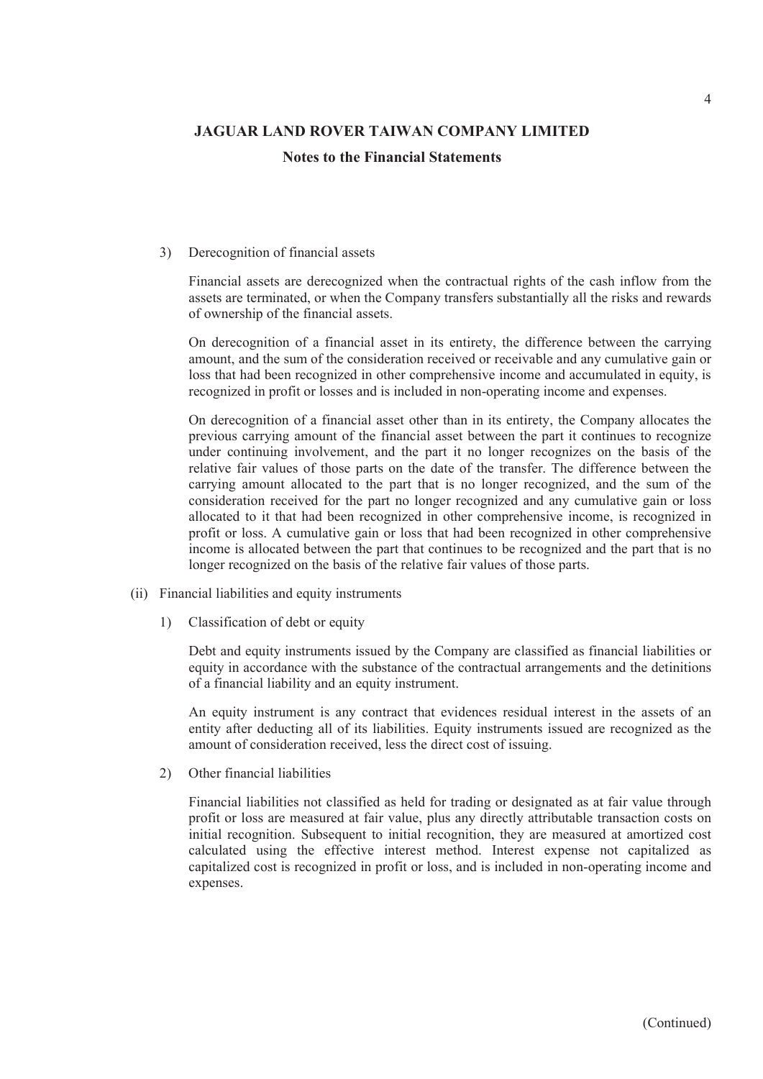**JAGUAR LAND ROVER TAIWAN COMPANY LIMITED**<br>Notes to the Financial Statements<br>3) Derecognition of financial assets<br>Financial assets are derecognized when the contractual rights of the case<br>assets are terminated, or when the Financial assets are derecognized when the contractual rights of the cash inflow from the assets are terminated, or when the Company transfers substantially all the risks and rewards of ownership of the financial assets.

On derecognition of a financial asset in its entirety, the difference between the carrying amount, and the sum of the consideration received or receivable and any cumulative gain or loss that had been recognized in other comprehensive income and accumulated in equity, is recognized in profit or losses and is included in non-operating income and expenses.

On derecognition of a financial asset other than in its entirety, the Company allocates the previous carrying amount of the financial asset between the part it continues to recognize under continuing involvement, and the part it no longer recognizes on the basis of the relative fair values of those parts on the date of the transfer. The difference between the carrying amount allocated to the part that is no longer recognized, and the sum of the consideration received for the part no longer recognized and any cumulative gain or loss allocated to it that had been recognized in other comprehensive income, is recognized in profit or loss. A cumulative gain or loss that had been recognized in other comprehensive income is allocated between the part that continues to be recognized and the part that is no longer recognized on the basis of the relative fair values of those parts. Financial assets are derecognized when the contractual rights of th<br>assets are terminated, or when the Company transfers substantially a<br>of ownership of the financial assets.<br>On derecognition of a financial asset in its en assets are terminated, or when the Company transfers substantially all the of ownership of the financial assets.<br>
On derecognition of a financial asset in its entirety, the difference bet amount, and the sum of the conside Financial liabilities and experiment and experiment and the part it no longer recognizes or relative fair values of those parts on the date of the transfer. The different carrying amount allocated to the part that is no lo

- -

Debt and equity instruments issued by the Company are classified as financial liabilities or equity in accordance with the substance of the contractual arrangements and the detinitions of a financial liability and an equity instrument.

An equity instrument is any contract that evidences residual interest in the assets of an entity after deducting all of its liabilities. Equity instruments issued are recognized as the amount of consideration received, less the direct cost of issuing.

Financial liabilities not classified as held for trading or designated as at fair value through profit or loss are measured at fair value, plus any directly attributable transaction costs on initial recognition. Subsequent to initial recognition, they are measured at amortized cost calculated using the effective interest method. Interest expense not capitalized as capitalized cost is recognized in profit or loss, and is included in non-operating income and expenses.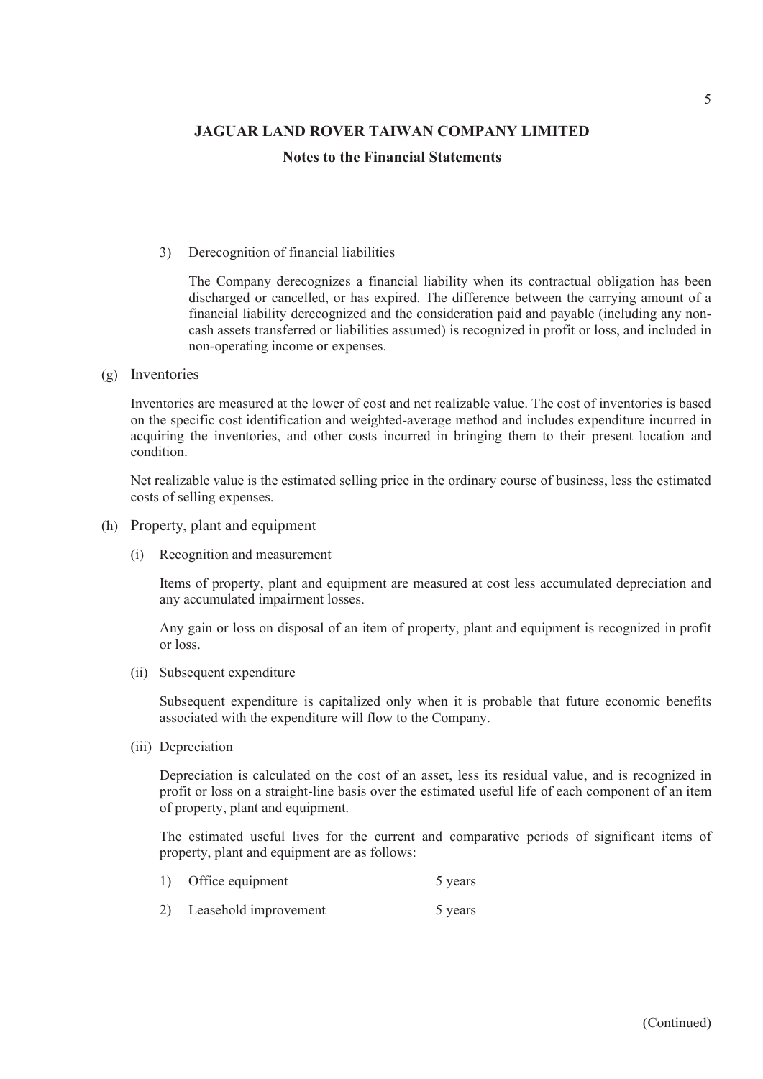**JAGUAR LAND ROVER TAIWAN COMPANY LIMITED**<br> **Notes to the Financial Statements**<br> **Solution of financial liabilities**<br>
The Company derecognizes a financial liability when its contractual of<br>
discharged or cancelled, or has The Company derecognizes a financial liability when its contractual obligation has been discharged or cancelled, or has expired. The difference between the carrying amount of a financial liability derecognized and the consideration paid and payable (including any noncash assets transferred or liabilities assumed) is recognized in profit or loss, and included in non-operating income or expenses. 3) Derecognition of financial liabilities<br>
The Company derecognizes a financial liability when its contracte<br>
discharged or cancelled, or has expired. The difference between the<br>
financial liability dereognized and the con

(g) Inventories

Inventories are measured at the lower of cost and net realizable value. The cost of inventories is based on the specific cost identification and weighted-average method and includes expenditure incurred in acquiring the inventories, and other costs incurred in bringing them to their present location and condition. non-operating income or expenses.<br>
Inventories<br>
Inventories<br>
Inventories<br>
Inventories<br>
are measured at the lower of cost and net realizable value. The cost<br>
on the specific cost identification and weighted-average method a on the specific cost identification and weighted-average method and includes<br>acquiring the inventories, and other costs incurred in bringing them to the<br>condition.<br>Net realizable value is the estimated selling price in the

Net realizable value is the estimated selling price in the ordinary course of business, less the estimated costs of selling expenses.

- (h) Property, plant and equipment
	-

Items of property, plant and equipment are measured at cost less accumulated depreciation and any accumulated impairment losses.

Any gain or loss on disposal of an item of property, plant and equipment is recognized in profit or loss.

Subsequent expenditure is capitalized only when it is probable that future economic benefits associated with the expenditure will flow to the Company.

Depreciation is calculated on the cost of an asset, less its residual value, and is recognized in profit or loss on a straight-line basis over the estimated useful life of each component of an item of property, plant and equipment. Recognition and measurement<br>
Items of property, plant and equipment are measured at cost less accumulated depreciation and<br>
any accumulated impairment losses.<br>
Any gain or loss on disposal of an item of property, plant and Items of property, plant and equipment are measured at cost less accumulated der<br>any accumulated impairment losses.<br>Any gain or loss on disposal of an item of property, plant and equipment is recogn<br>or loss.<br>Subsequent exp

The estimated useful lives for the current and comparative periods of significant items of property, plant and equipment are as follows:

- 
-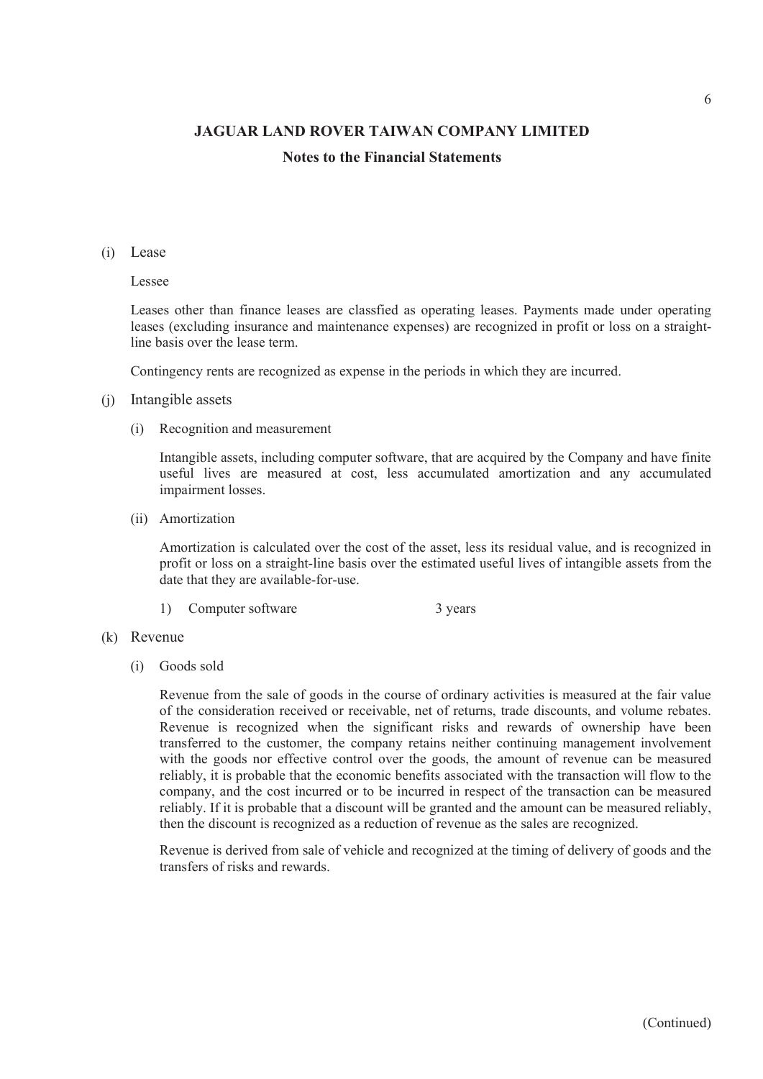## Notes to the Financial Statements

#### (i) Lease

#### Lessee

Leases other than finance leases are classfied as operating leases. Payments made under operating leases (excluding insurance and maintenance expenses) are recognized in profit or loss on a straightline basis over the lease term. JAGUAR LAND ROVER TAIWAN COMPANY LIMITE<br>
Notes to the Financial Statements<br>
Lease<br>
Lease<br>
Lease<br>
Lease<br>
Lease<br>
Lease<br>
Lease<br>
contring means measurement<br>
leases (excluding insurance and maintenance expenses) are recognized Lease<br>
Leases<br>
Leases of<br>
Leases (excluding insurance and maintenance expenses) are recognized in prole<br>
leases (excluding insurance and maintenance expenses) are recognized in prof<br>
line basis over the lease term.<br>
Contin

Contingency rents are recognized as expense in the periods in which they are incurred.

#### (j) Intangible assets

Intangible assets, including computer software, that are acquired by the Company and have finite useful lives are measured at cost, less accumulated amortization and any accumulated impairment losses.

Amortization is calculated over the cost of the asset, less its residual value, and is recognized in profit or loss on a straight-line basis over the estimated useful lives of intangible assets from the date that they are available-for-use. is of the manner leases are classfied as operating leases. Payments made under operating so (excluding insurance and maintenance expenses) are recognized in profit or loss on a straight-<br>sosis over the lease term.<br>ingency

#### (k) Revenue

Ine basis over the lease term.<br>
Contingency rents are recognized as expense in the periods in which they are in<br>
Intangible assets<br>
(i) Recognition and measurement<br>
Intangible assets, including computer software, that are Revenue from the sale of goods in the course of ordinary activities is measured at the fair value of the consideration received or receivable, net of returns, trade discounts, and volume rebates. Revenue is recognized when the significant risks and rewards of ownership have been transferred to the customer, the company retains neither continuing management involvement with the goods nor effective control over the goods, the amount of revenue can be measured reliably, it is probable that the economic benefits associated with the transaction will flow to the company, and the cost incurred or to be incurred in respect of the transaction can be measured reliably. If it is probable that a discount will be granted and the amount can be measured reliably, then the discount is recognized as a reduction of revenue as the sales are recognized.

Revenue is derived from sale of vehicle and recognized at the timing of delivery of goods and the transfers of risks and rewards.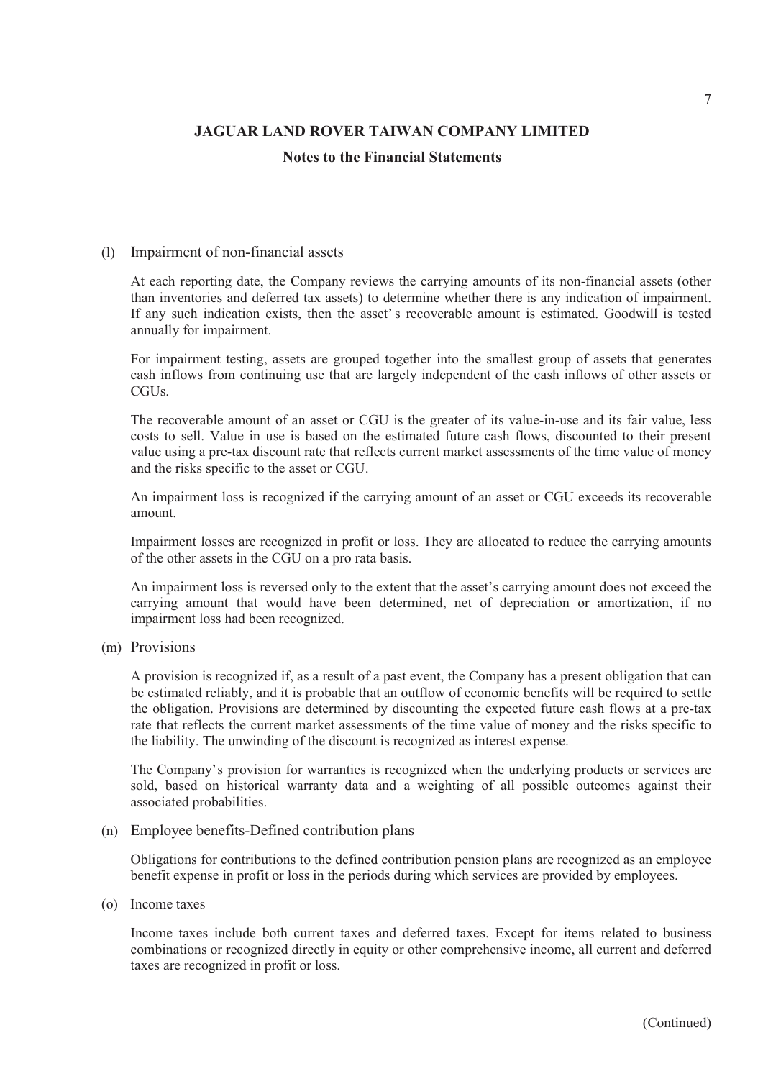## Notes to the Financial Statements

## (l) Impairment of non-financial assets

At each reporting date, the Company reviews the carrying amounts of its non-financial assets (other than inventories and deferred tax assets) to determine whether there is any indication of impairment. <sup>7</sup><br> **IAGUAR LAND ROVER TAIWAN COMPANY LIMITED**<br> **Notes to the Financial Statements**<br> **IMM**<br> **IMM**<br> **IMM**<br> **IMM**<br> **IMM**<br> **IMM**<br> **IMM**<br> **IMM**<br> **IMM**<br> **IMM**<br> **IMM**<br> **IMM**<br> **IMM**<br> **IMM**<br> **IMM**<br> **IMM**<br> **IMM**<br> **IMM**<br> **IMM**<br> **IM** annually for impairment.

For impairment testing, assets are grouped together into the smallest group of assets that generates cash inflows from continuing use that are largely independent of the cash inflows of other assets or CGU<sub>s</sub>.

The recoverable amount of an asset or CGU is the greater of its value-in-use and its fair value, less costs to sell. Value in use is based on the estimated future cash flows, discounted to their present value using a pre-tax discount rate that reflects current market assessments of the time value of money and the risks specific to the asset or CGU.

An impairment loss is recognized if the carrying amount of an asset or CGU exceeds its recoverable amount.

Impairment losses are recognized in profit or loss. They are allocated to reduce the carrying amounts of the other assets in the CGU on a pro rata basis.

An impairment loss is reversed only to the extent that the asset's carrying amount does not exceed the carrying amount that would have been determined, net of depreciation or amortization, if no impairment loss had been recognized.

## (m) Provisions

A provision is recognized if, as a result of a past event, the Company has a present obligation that can be estimated reliably, and it is probable that an outflow of economic benefits will be required to settle the obligation. Provisions are determined by discounting the expected future cash flows at a pre-tax rate that reflects the current market assessments of the time value of money and the risks specific to the liability. The unwinding of the discount is recognized as interest expense. An impairment loss is reversed only to the extent that the asset's carrying<br>carrying amount that would have been determined, net of depreciat<br>impairment loss had been recognized.<br>(m) Provisions<br>A provision is recognized if

The Company's provision for warranties is recognized when the underlying products or services are sold, based on historical warranty data and a weighting of all possible outcomes against their associated probabilities.

(n) Employee benefits-Defined contribution plans

Obligations for contributions to the defined contribution pension plans are recognized as an employee benefit expense in profit or loss in the periods during which services are provided by employees.

Income taxes include both current taxes and deferred taxes. Except for items related to business combinations or recognized directly in equity or other comprehensive income, all current and deferred taxes are recognized in profit or loss.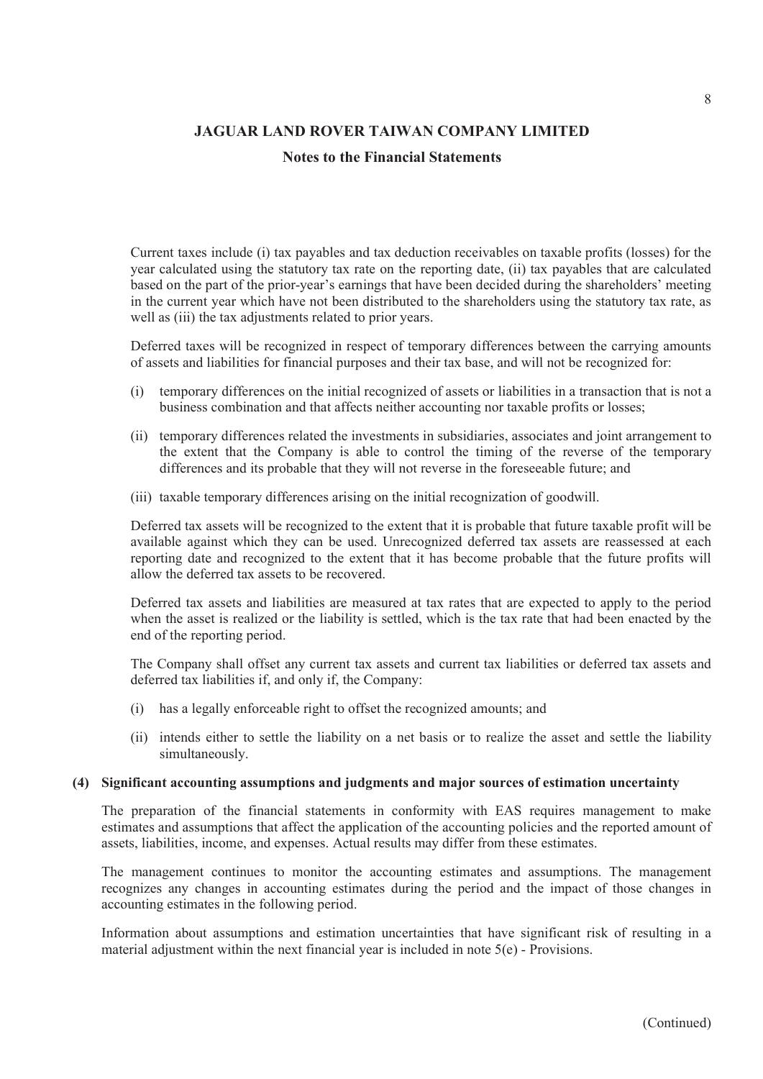## Notes to the Financial Statements

Current taxes include (i) tax payables and tax deduction receivables on taxable profits (losses) for the year calculated using the statutory tax rate on the reporting date, (ii) tax payables that are calculated based on the part of the prior-year's earnings that have been decided during the shareholders' meeting in the current year which have not been distributed to the shareholders using the statutory tax rate, as well as (iii) the tax adjustments related to prior years. SAGUAR LAND ROVER TAIWAN COMPANY LIMITED<br>
Notes to the Financial Statements<br>
Notes to the Financial Statements<br>
Notes to the Financial Statements<br>
Notes of the proporty and the intervent of the proportion of the proportion **JAGUAR LAND ROVER TAIWAN COMPANY LIMITED**<br>
Notes to the Financial Statements<br>
Notes to the Financial Statements<br>
Notes to the Financial Statements<br>
Notes are alculated using the statutory tax rate on the reporting date, Current taxes include (i) tax payables and tax deduction receivables on taxable profits (losses) for the state calculated using the statutory tax rate on the reporting date, (ii) tax payables that are calculated be phased

Deferred taxes will be recognized in respect of temporary differences between the carrying amounts of assets and liabilities for financial purposes and their tax base, and will not be recognized for:

- business combination and that affects neither accounting nor taxable profits or losses;
- the extent that the Company is able to control the timing of the reverse of the temporary differences and its probable that they will not reverse in the foreseeable future; and
- 

Deferred tax assets will be recognized to the extent that it is probable that future taxable profit will be available against which they can be used. Unrecognized deferred tax assets are reassessed at each reporting date and recognized to the extent that it has become probable that the future profits will allow the deferred tax assets to be recovered. (i) temporary differences on the initial recognized of assets or liabilities in a transaction that is not a business combination and that affects neither accounting nor taxable profits or losses;<br>(ii) temporary difference business combination and that affects neither accounting nor taxable proits or losses;<br>
(ii) temporary differences related the investments in subsidiaries, associates and joint arrangement to<br>
the extent that the Company i the extent that the Company is able to control the timming of the creative of the counting differences and its probable that they will not reverse in the foreseeable future; and<br>(iii) taxable temporary differences arising

Deferred tax assets and liabilities are measured at tax rates that are expected to apply to the period when the asset is realized or the liability is settled, which is the tax rate that had been enacted by the end of the reporting period.

The Company shall offset any current tax assets and current tax liabilities or deferred tax assets and deferred tax liabilities if, and only if, the Company:

- 
- simultaneously.

The preparation of the financial statements in conformity with EAS requires management to make estimates and assumptions that affect the application of the accounting policies and the reported amount of assets, liabilities, income, and expenses. Actual results may differ from these estimates.

The management continues to monitor the accounting estimates and assumptions. The management recognizes any changes in accounting estimates during the period and the impact of those changes in accounting estimates in the following period.

Information about assumptions and estimation uncertainties that have significant risk of resulting in a material adjustment within the next financial year is included in note  $5(e)$  - Provisions.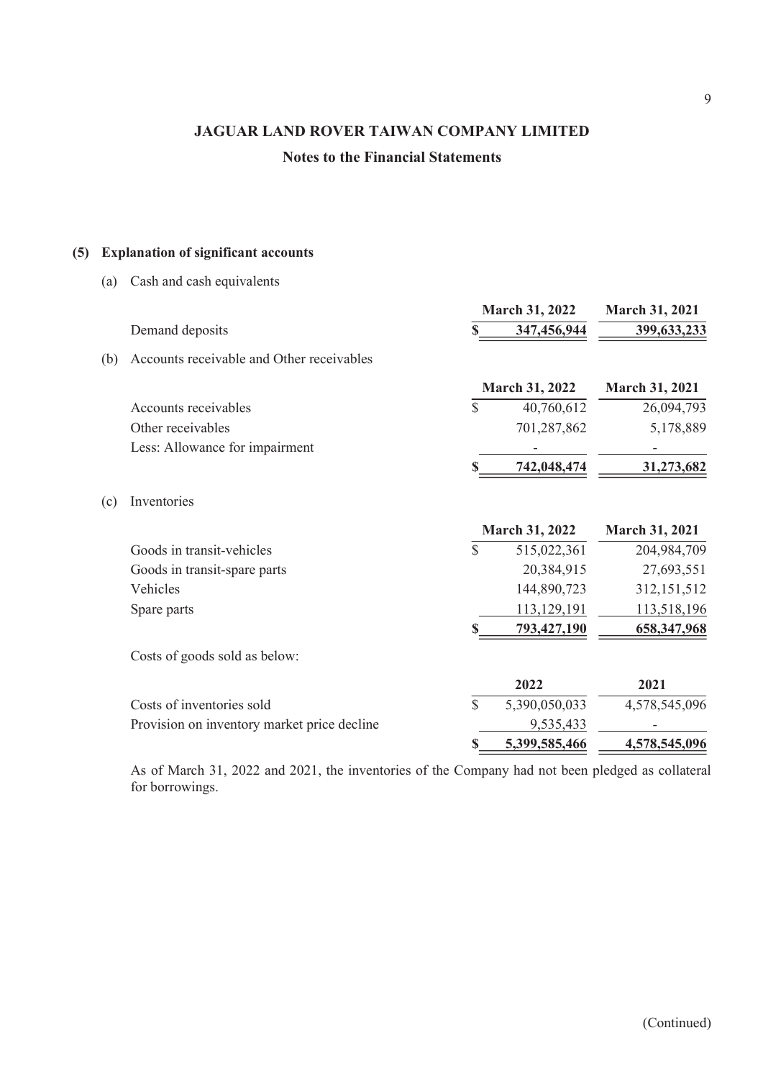|     |                                                                                             |               |                          | 9                        |
|-----|---------------------------------------------------------------------------------------------|---------------|--------------------------|--------------------------|
|     | <b>JAGUAR LAND ROVER TAIWAN COMPANY LIMITED</b><br><b>Notes to the Financial Statements</b> |               |                          |                          |
|     |                                                                                             |               |                          |                          |
|     |                                                                                             |               |                          |                          |
|     |                                                                                             |               |                          |                          |
|     | (5) Explanation of significant accounts                                                     |               |                          |                          |
| (a) | Cash and cash equivalents                                                                   |               |                          |                          |
|     |                                                                                             |               | March 31, 2022           | March 31, 2021           |
|     | Demand deposits                                                                             |               | 347,456,944              | 399,633,233              |
| (b) | Accounts receivable and Other receivables                                                   |               |                          |                          |
|     |                                                                                             |               | March 31, 2022           | March 31, 2021           |
|     | Accounts receivables                                                                        | $\mathcal{S}$ | 40,760,612               | 26,094,793               |
|     | Other receivables                                                                           |               | 701,287,862              | 5,178,889                |
|     | Less: Allowance for impairment                                                              |               | $\overline{\phantom{a}}$ | $\overline{\phantom{a}}$ |
|     |                                                                                             |               | 742,048,474              | 31,273,682               |
| (c) | Inventories                                                                                 |               |                          |                          |
|     |                                                                                             |               | <b>March 31, 2022</b>    | March 31, 2021           |
|     | Goods in transit-vehicles                                                                   | \$            | 515,022,361              | 204,984,709              |
|     | Goods in transit-spare parts                                                                |               | 20,384,915               | 27,693,551               |
|     | Vehicles                                                                                    |               | 144,890,723              | 312,151,512              |
|     | Spare parts                                                                                 |               | 113,129,191              | 113,518,196              |
|     |                                                                                             |               | 793,427,190              | 658,347,968              |
|     | Costs of goods sold as below:                                                               |               |                          |                          |
|     |                                                                                             |               | 2022                     | 2021                     |
|     | Costs of inventories sold                                                                   | $\mathbb{S}$  | 5,390,050,033            | 4,578,545,096            |
|     | Provision on inventory market price decline                                                 |               | 9,535,433                | $\overline{\phantom{a}}$ |
|     |                                                                                             |               | 5,399,585,466            | 4,578,545,096            |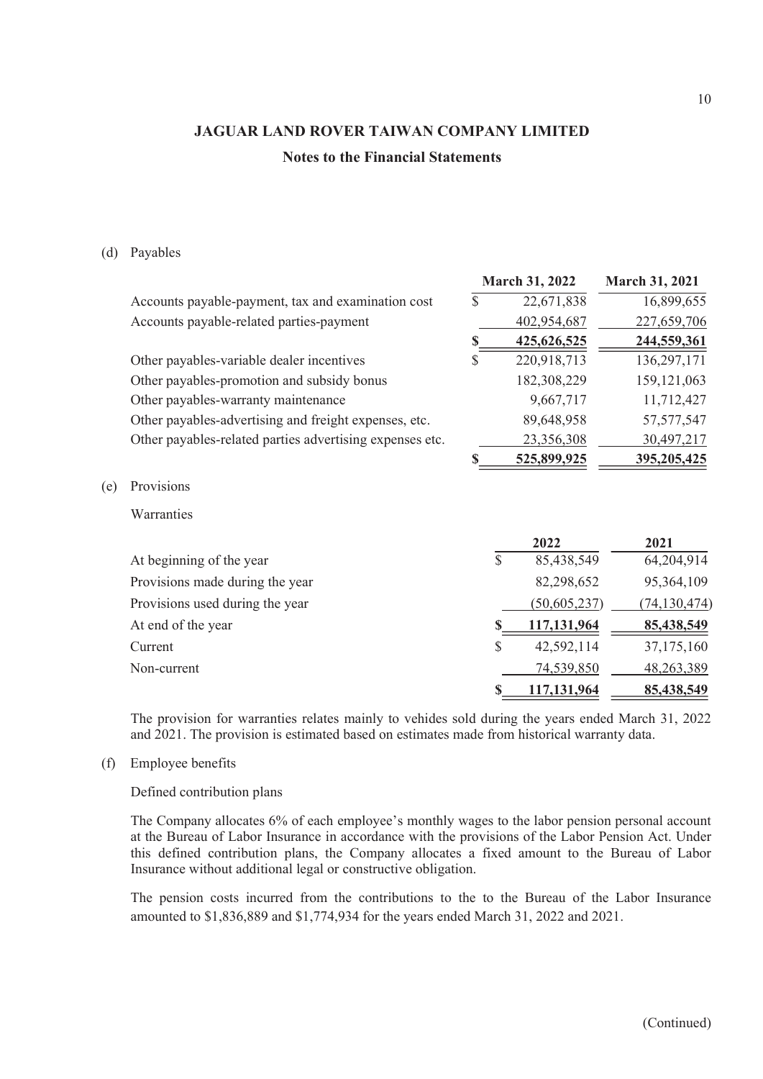|     |                                                                                                                                                                                                       |              |                | 10                    |
|-----|-------------------------------------------------------------------------------------------------------------------------------------------------------------------------------------------------------|--------------|----------------|-----------------------|
|     | <b>JAGUAR LAND ROVER TAIWAN COMPANY LIMITED</b><br><b>Notes to the Financial Statements</b>                                                                                                           |              |                |                       |
|     |                                                                                                                                                                                                       |              |                |                       |
|     | (d) Payables                                                                                                                                                                                          |              |                |                       |
|     |                                                                                                                                                                                                       |              | March 31, 2022 | <b>March 31, 2021</b> |
|     | Accounts payable-payment, tax and examination cost                                                                                                                                                    | $\mathbb{S}$ | 22,671,838     | 16,899,655            |
|     | Accounts payable-related parties-payment                                                                                                                                                              |              | 402,954,687    | 227,659,706           |
|     |                                                                                                                                                                                                       | \$           | 425,626,525    | 244,559,361           |
|     | Other payables-variable dealer incentives                                                                                                                                                             | $\mathbb{S}$ | 220,918,713    | 136,297,171           |
|     | Other payables-promotion and subsidy bonus                                                                                                                                                            |              | 182,308,229    | 159, 121, 063         |
|     | Other payables-warranty maintenance                                                                                                                                                                   |              | 9,667,717      | 11,712,427            |
|     | Other payables-advertising and freight expenses, etc.                                                                                                                                                 |              | 89,648,958     | 57, 577, 547          |
|     | Other payables-related parties advertising expenses etc.                                                                                                                                              |              | 23,356,308     | 30,497,217            |
|     |                                                                                                                                                                                                       | S            | 525,899,925    | 395,205,425           |
| (e) | Provisions                                                                                                                                                                                            |              |                |                       |
|     | Warranties                                                                                                                                                                                            |              |                |                       |
|     |                                                                                                                                                                                                       |              | 2022           | 2021                  |
|     | At beginning of the year                                                                                                                                                                              | \$           | 85,438,549     | 64,204,914            |
|     | Provisions made during the year                                                                                                                                                                       |              | 82,298,652     | 95,364,109            |
|     | Provisions used during the year                                                                                                                                                                       |              | (50,605,237)   | (74, 130, 474)        |
|     | At end of the year                                                                                                                                                                                    |              | 117,131,964    | 85,438,549            |
|     | Current                                                                                                                                                                                               | S            | 42,592,114     | 37,175,160            |
|     | Non-current                                                                                                                                                                                           |              | 74,539,850     | 48,263,389            |
|     |                                                                                                                                                                                                       |              | 117,131,964    | 85,438,549            |
|     | The provision for warranties relates mainly to vehides sold during the years ended March 31, 2022<br>and 2021. The provision is estimated based on estimates made from historical warranty data.      |              |                |                       |
| (f) | <b>Employee benefits</b>                                                                                                                                                                              |              |                |                       |
|     | Defined contribution plans                                                                                                                                                                            |              |                |                       |
|     | The Company allocates 6% of each employee's monthly wages to the labor pension personal account<br>at the Bureau of Labor Insurance in accordance with the provisions of the Labor Pension Act. Under |              |                |                       |

#### Defined contribution plans

The Company allocates  $6\%$  of each employee's monthly wages to the labor pension personal account at the Bureau of Labor Insurance in accordance with the provisions of the Labor Pension Act. Under this defined contribution plans, the Company allocates a fixed amount to the Bureau of Labor Insurance without additional legal or constructive obligation.

The pension costs incurred from the contributions to the to the Bureau of the Labor Insurance amounted to \$1,836,889 and \$1,774,934 for the years ended March 31, 2022 and 2021.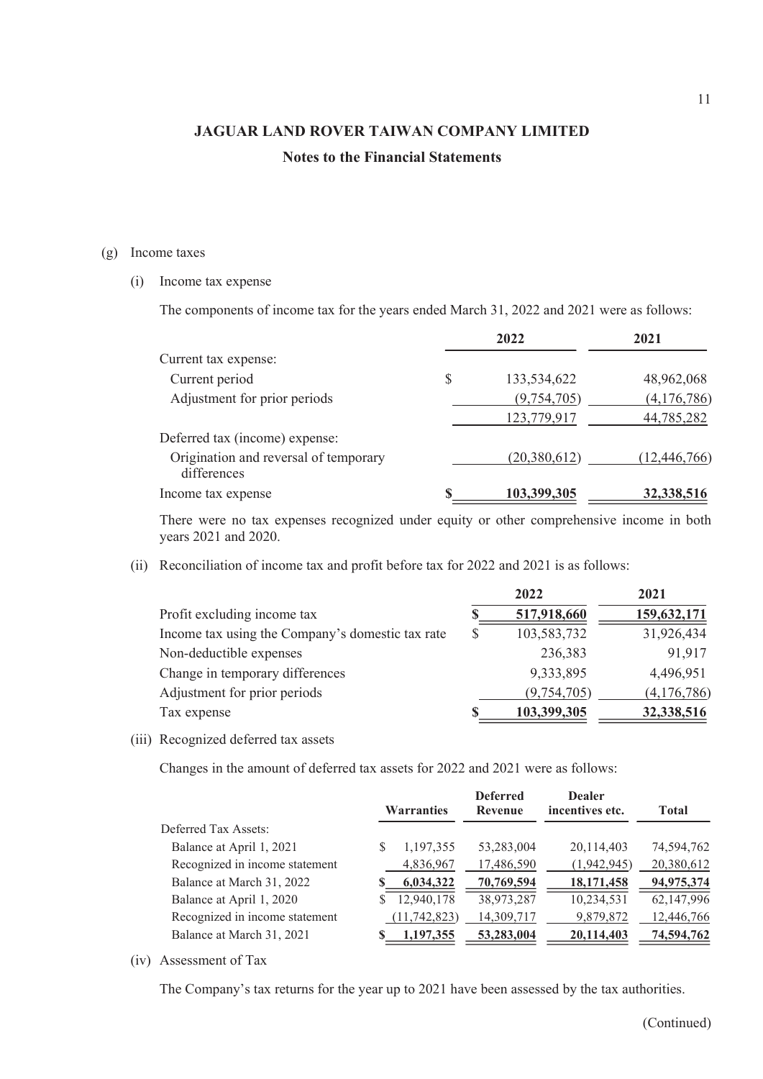# JAGUAR LAND ROVER TAIWAN COMPANY LIMITED Notes to the Financial Statements JAGUAR LAND ROVER TAIWAN COMPANY LIM<br>
Notes to the Financial Statements<br>
(g) Income taxes<br>
(i) Income tax expense<br>
The components of income tax for the years ended March 31, 2022 a<br>
2022

|      | <b>JAGUAR LAND ROVER TAIWAN COMPANY LIMITED</b><br><b>Notes to the Financial Statements</b>                      |              |                            | 11                        |
|------|------------------------------------------------------------------------------------------------------------------|--------------|----------------------------|---------------------------|
|      |                                                                                                                  |              |                            |                           |
|      |                                                                                                                  |              |                            |                           |
|      |                                                                                                                  |              |                            |                           |
|      |                                                                                                                  |              |                            |                           |
|      | Income taxes                                                                                                     |              |                            |                           |
| (i)  | Income tax expense                                                                                               |              |                            |                           |
|      | The components of income tax for the years ended March 31, 2022 and 2021 were as follows:                        |              |                            |                           |
|      |                                                                                                                  |              | 2022                       | 2021                      |
|      | Current tax expense:                                                                                             |              |                            |                           |
|      | Current period                                                                                                   | $\mathbb{S}$ | 133,534,622                | 48,962,068                |
|      | Adjustment for prior periods                                                                                     |              | (9,754,705)                | (4,176,786)               |
|      |                                                                                                                  |              | 123,779,917                | 44,785,282                |
|      | Deferred tax (income) expense:                                                                                   |              |                            |                           |
|      |                                                                                                                  |              |                            |                           |
|      | Origination and reversal of temporary                                                                            |              | (20, 380, 612)             | (12, 446, 766)            |
|      | differences<br>Income tax expense                                                                                |              | 103,399,305                | 32,338,516                |
|      | There were no tax expenses recognized under equity or other comprehensive income in both<br>years 2021 and 2020. |              |                            |                           |
| (ii) | Reconciliation of income tax and profit before tax for 2022 and 2021 is as follows:                              |              |                            |                           |
|      |                                                                                                                  |              | 2022                       | 2021                      |
|      | Profit excluding income tax                                                                                      | S            | 517,918,660                | 159,632,171               |
|      | Income tax using the Company's domestic tax rate                                                                 | \$           | 103,583,732                | 31,926,434                |
|      | Non-deductible expenses                                                                                          |              | 236,383                    | 91,917                    |
|      | Change in temporary differences                                                                                  |              | 9,333,895                  | 4,496,951                 |
|      | Adjustment for prior periods<br>Tax expense                                                                      |              | (9,754,705)<br>103,399,305 | (4,176,786)<br>32,338,516 |

|       | <b>Warranties</b>                                                                                                |   | <b>Deferred</b><br>Revenue | <b>Dealer</b><br>incentives etc. | <b>Total</b>   |
|-------|------------------------------------------------------------------------------------------------------------------|---|----------------------------|----------------------------------|----------------|
|       | Changes in the amount of deferred tax assets for 2022 and 2021 were as follows:                                  |   |                            |                                  |                |
| (iii) | Recognized deferred tax assets                                                                                   |   |                            |                                  |                |
|       | Tax expense                                                                                                      |   | 103,399,305                |                                  | 32,338,516     |
|       | Adjustment for prior periods                                                                                     |   | (9,754,705)                |                                  | (4,176,786)    |
|       | Change in temporary differences                                                                                  |   | 9,333,895                  |                                  | 4,496,951      |
|       | Non-deductible expenses                                                                                          |   | 236,383                    |                                  | 91,917         |
|       | Income tax using the Company's domestic tax rate                                                                 |   | \$<br>103,583,732          |                                  | 31,926,434     |
|       | Profit excluding income tax                                                                                      |   | \$<br>517,918,660          |                                  | 159,632,171    |
|       |                                                                                                                  |   | 2022                       |                                  | 2021           |
| (ii)  | Reconciliation of income tax and profit before tax for 2022 and 2021 is as follows:                              |   |                            |                                  |                |
|       | There were no tax expenses recognized under equity or other comprehensive income in both<br>years 2021 and 2020. |   |                            |                                  |                |
|       | Income tax expense                                                                                               |   | 103,399,305                |                                  | 32,338,516     |
|       | Origination and reversal of temporary<br>differences                                                             |   | (20, 380, 612)             |                                  | (12, 446, 766) |
|       | Deferred tax (income) expense:                                                                                   |   |                            |                                  |                |
|       |                                                                                                                  |   | 123,779,917                |                                  | 44,785,282     |
|       | Adjustment for prior periods                                                                                     |   | (9, 754, 705)              |                                  | (4,176,786)    |
|       | Current period                                                                                                   | Φ | 133,337,022                |                                  | 40,702,000     |

|      | There were no tax expenses recognized under equity or other comprehensive income in both<br>years 2021 and 2020. |                           |                            |                                  |                          |
|------|------------------------------------------------------------------------------------------------------------------|---------------------------|----------------------------|----------------------------------|--------------------------|
| (ii) | Reconciliation of income tax and profit before tax for 2022 and 2021 is as follows:                              |                           |                            |                                  |                          |
|      |                                                                                                                  |                           | 2022                       |                                  | 2021                     |
|      | Profit excluding income tax                                                                                      |                           |                            | 517,918,660                      | 159,632,171              |
|      | Income tax using the Company's domestic tax rate                                                                 |                           | \$                         | 103,583,732                      | 31,926,434               |
|      | Non-deductible expenses                                                                                          |                           |                            | 236,383                          | 91,917                   |
|      | Change in temporary differences                                                                                  |                           |                            | 9,333,895                        | 4,496,951                |
|      | Adjustment for prior periods                                                                                     |                           |                            | (9,754,705)                      | (4,176,786)              |
|      | Tax expense                                                                                                      |                           |                            | 103,399,305                      | 32,338,516               |
|      | (iii) Recognized deferred tax assets                                                                             |                           |                            |                                  |                          |
|      | Changes in the amount of deferred tax assets for 2022 and 2021 were as follows:                                  |                           |                            |                                  |                          |
|      |                                                                                                                  |                           |                            |                                  |                          |
|      |                                                                                                                  | <b>Warranties</b>         | <b>Deferred</b><br>Revenue | <b>Dealer</b><br>incentives etc. | <b>Total</b>             |
|      | Deferred Tax Assets:                                                                                             |                           |                            |                                  |                          |
|      | Balance at April 1, 2021                                                                                         | 1,197,355                 | 53,283,004                 | 20,114,403                       | 74,594,762               |
|      | Recognized in income statement                                                                                   | 4,836,967                 | 17,486,590                 | (1,942,945)                      | 20,380,612               |
|      | Balance at March 31, 2022                                                                                        | 6,034,322                 | 70,769,594                 | 18,171,458                       | 94,975,374               |
|      | Balance at April 1, 2020                                                                                         | 12,940,178                | 38,973,287                 | 10,234,531                       | 62,147,996               |
|      | Recognized in income statement<br>Balance at March 31, 2021                                                      | (11,742,823)<br>1,197,355 | 14,309,717<br>53,283,004   | 9,879,872<br>20,114,403          | 12,446,766<br>74,594,762 |
|      |                                                                                                                  |                           |                            |                                  |                          |
| (iv) | Assessment of Tax                                                                                                |                           |                            |                                  |                          |
|      | The Company's tax returns for the year up to 2021 have been assessed by the tax authorities.                     |                           |                            |                                  |                          |
|      |                                                                                                                  |                           |                            |                                  | (Continued)              |
|      |                                                                                                                  |                           |                            |                                  |                          |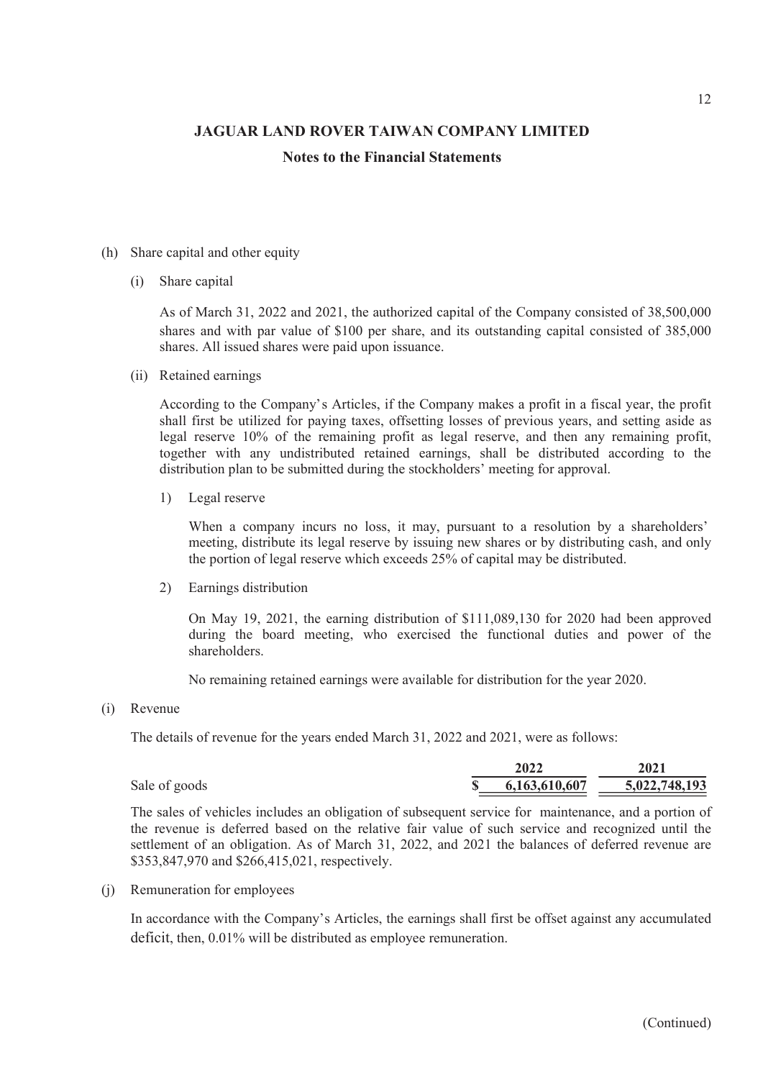## Notes to the Financial Statements

- -

JAGUAR LAND ROVER TAIWAN COMPANY LIM<br>
Notes to the Financial Statements<br>
(h) Share capital and other equity<br>
(i) Share capital<br>
As of March 31, 2022 and 2021, the authorized capital of the Comp<br>
shares and with par value o **JAGUAR LAND ROVER TAIWAN COMPANY LIMITE**<br> **Notes to the Financial Statements**<br>
Share capital and other equity<br>
(i) Share capital<br>
As of March 31, 2022 and 2021, the authorized capital of the Company<br>
shares and with par v As of March 31, 2022 and 2021, the authorized capital of the Company consisted of 38,500,000 shares and with par value of \$100 per share, and its outstanding capital consisted of 385,000 shares. All issued shares were paid upon issuance.

JAGUAR LAND ROVER TAIWAN COMPANY LIMITE<br>
Notes to the Financial Statements<br>
Notes to the Financial Statements<br>
Share capital and other equity<br>
(i) Share capital<br>
As of March 31, 2022 and 2021, the authorized capital of the According to the Companys Articles, if the Company makes a profit in a fiscal year, the profit shall first be utilized for paying taxes, offsetting losses of previous years, and setting aside as legal reserve 10% of the remaining profit as legal reserve, and then any remaining profit, together with any undistributed retained earnings, shall be distributed according to the distribution plan to be submitted during the stockholders' meeting for approval. capital and other equity<br>
Share capital<br>
As of March 31, 2022 and 2021, the authorized capital of the Company consis<br>
shares and with par value of \$100 per share, and its outstanding capital cor<br>
shares. All issued shares Example 1 and other equity<br>
Share capital<br>
As of March 31, 2022 and 2021, the authorized capital of the Company consis<br>
shares and with par value of \$100 per share, and its outstanding capital cor<br>
shares. All issued share (ii) Retained earnings<br>
According to the Company's Articles, if the Company makes a pro-<br>
shall first be utilized for paying taxes, offsetting losses of previous<br>
legal reserve 10% of the remaining profit as legal reserve

When a company incurs no loss, it may, pursuant to a resolution by a shareholders' meeting, distribute its legal reserve by issuing new shares or by distributing cash, and only the portion of legal reserve which exceeds 25% of capital may be distributed.

On May 19, 2021, the earning distribution of \$111,089,130 for 2020 had been approved during the board meeting, who exercised the functional duties and power of the shareholders.

No remaining retained earnings were available for distribution for the year 2020.

The details of revenue for the years ended March 31, 2022 and 2021, were as follows:

|                  | 2022                      | 2021          |  |
|------------------|---------------------------|---------------|--|
| Sale of<br>goods | .607<br>(10)<br>ID.<br>ъ. | 5,022,748,193 |  |

distribution plan to be submituded retained earthings, shari be distribution plan to be submitted during the stockholders' meeting for approval.<br>
1) Legal reserve<br>
When a company incurs no loss, it may, pursuant to a reso The sales of vehicles includes an obligation of subsequent service for maintenance, and a portion of the revenue is deferred based on the relative fair value of such service and recognized until the settlement of an obligation. As of March 31, 2022, and 2021 the balances of deferred revenue are \$353,847,970 and \$266,415,021, respectively. the portion of legal reserve which exceeds 25% of capital may t<br>
2) Earnings distribution<br>
On May 19, 2021, the carning distribution of \$111,089,130 f<br>
during the board meeting, who exercised the functional<br>
shareholders.

In accordance with the Companys Articles, the earnings shall first be offset against any accumulated deficit, then, 0.01% will be distributed as employee remuneration.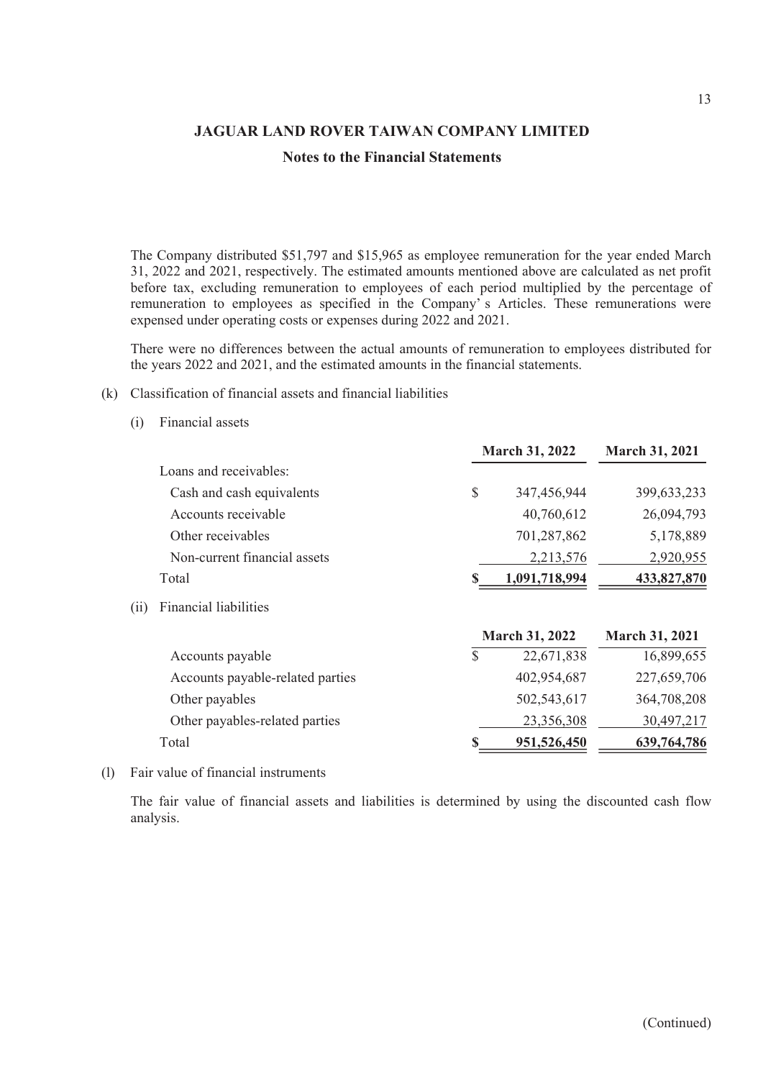The Company distributed \$51,797 and \$15,965 as employee remuneration for the year ended March 31, 2022 and 2021, respectively. The estimated amounts mentioned above are calculated as net profit before tax, excluding remuneration to employees of each period multiplied by the percentage of remuneration to employees as specified in the Company's Articles. These remunerations were **THE COMPROM SET SET ARTER COMPANY LIMITED**<br> **Roofs to the Financial Statements**<br> **The Company distributed \$51,797 and \$15,965 as employee remuneration for the year ended March**<br> **S1, 2022 and 2021**, respectively. The est expensed under operating costs or expenses during 2022 and 2021. JAGUAR LAND ROVER TAIWAN COMPANY LIMITED<br>
Notes to the Financial Statements<br>
The Company distributed \$51,797 and \$15,965 as employee remuneration for the<br>
31, 2022 and 2021, respectively. The estimated amounts mentioned ab JAGUAR LAND ROVER TAIWAN COMPANY LIMITE<br>
Notes to the Financial Statements<br>
The Company distributed \$51,797 and \$15,965 as employee remuneration for<br>
31, 2022 and 2021, respectively. The estimated amounts mentioned above a

- -

|     | <b>JAGUAR LAND ROVER TAIWAN COMPANY LIMITED</b>                                                                                                                                                                                                                                                                                                                                                                                                                            |              |                |                       |
|-----|----------------------------------------------------------------------------------------------------------------------------------------------------------------------------------------------------------------------------------------------------------------------------------------------------------------------------------------------------------------------------------------------------------------------------------------------------------------------------|--------------|----------------|-----------------------|
|     | <b>Notes to the Financial Statements</b>                                                                                                                                                                                                                                                                                                                                                                                                                                   |              |                |                       |
|     |                                                                                                                                                                                                                                                                                                                                                                                                                                                                            |              |                |                       |
|     | The Company distributed \$51,797 and \$15,965 as employee remuneration for the year ended March<br>31, 2022 and 2021, respectively. The estimated amounts mentioned above are calculated as net profit<br>before tax, excluding remuneration to employees of each period multiplied by the percentage of<br>remuneration to employees as specified in the Company's Articles. These remunerations were<br>expensed under operating costs or expenses during 2022 and 2021. |              |                |                       |
|     | There were no differences between the actual amounts of remuneration to employees distributed for<br>the years 2022 and 2021, and the estimated amounts in the financial statements.                                                                                                                                                                                                                                                                                       |              |                |                       |
| (k) | Classification of financial assets and financial liabilities                                                                                                                                                                                                                                                                                                                                                                                                               |              |                |                       |
|     | Financial assets<br>(i)                                                                                                                                                                                                                                                                                                                                                                                                                                                    |              |                |                       |
|     |                                                                                                                                                                                                                                                                                                                                                                                                                                                                            |              | March 31, 2022 | <b>March 31, 2021</b> |
|     | Loans and receivables:                                                                                                                                                                                                                                                                                                                                                                                                                                                     |              |                |                       |
|     | Cash and cash equivalents                                                                                                                                                                                                                                                                                                                                                                                                                                                  | \$           | 347,456,944    | 399,633,233           |
|     | Accounts receivable                                                                                                                                                                                                                                                                                                                                                                                                                                                        |              | 40,760,612     | 26,094,793            |
|     | Other receivables                                                                                                                                                                                                                                                                                                                                                                                                                                                          |              | 701,287,862    | 5,178,889             |
|     | Non-current financial assets                                                                                                                                                                                                                                                                                                                                                                                                                                               |              | 2,213,576      | 2,920,955             |
|     | Total                                                                                                                                                                                                                                                                                                                                                                                                                                                                      |              | 1,091,718,994  | 433,827,870           |
|     | <b>Financial liabilities</b><br>(i)                                                                                                                                                                                                                                                                                                                                                                                                                                        |              |                |                       |
|     |                                                                                                                                                                                                                                                                                                                                                                                                                                                                            |              | March 31, 2022 | <b>March 31, 2021</b> |
|     | Accounts payable                                                                                                                                                                                                                                                                                                                                                                                                                                                           | $\mathbb{S}$ | 22,671,838     | 16,899,655            |
|     | Accounts payable-related parties                                                                                                                                                                                                                                                                                                                                                                                                                                           |              | 402,954,687    | 227,659,706           |
|     | Other payables                                                                                                                                                                                                                                                                                                                                                                                                                                                             |              | 502,543,617    | 364,708,208           |
|     | Other payables-related parties                                                                                                                                                                                                                                                                                                                                                                                                                                             |              | 23,356,308     | 30,497,217            |
|     | Total                                                                                                                                                                                                                                                                                                                                                                                                                                                                      | S            | 951,526,450    | 639,764,786           |
| (1) | Fair value of financial instruments                                                                                                                                                                                                                                                                                                                                                                                                                                        |              |                |                       |
|     | The fair value of financial assets and liabilities is determined by using the discounted cash flow<br>analysis.                                                                                                                                                                                                                                                                                                                                                            |              |                |                       |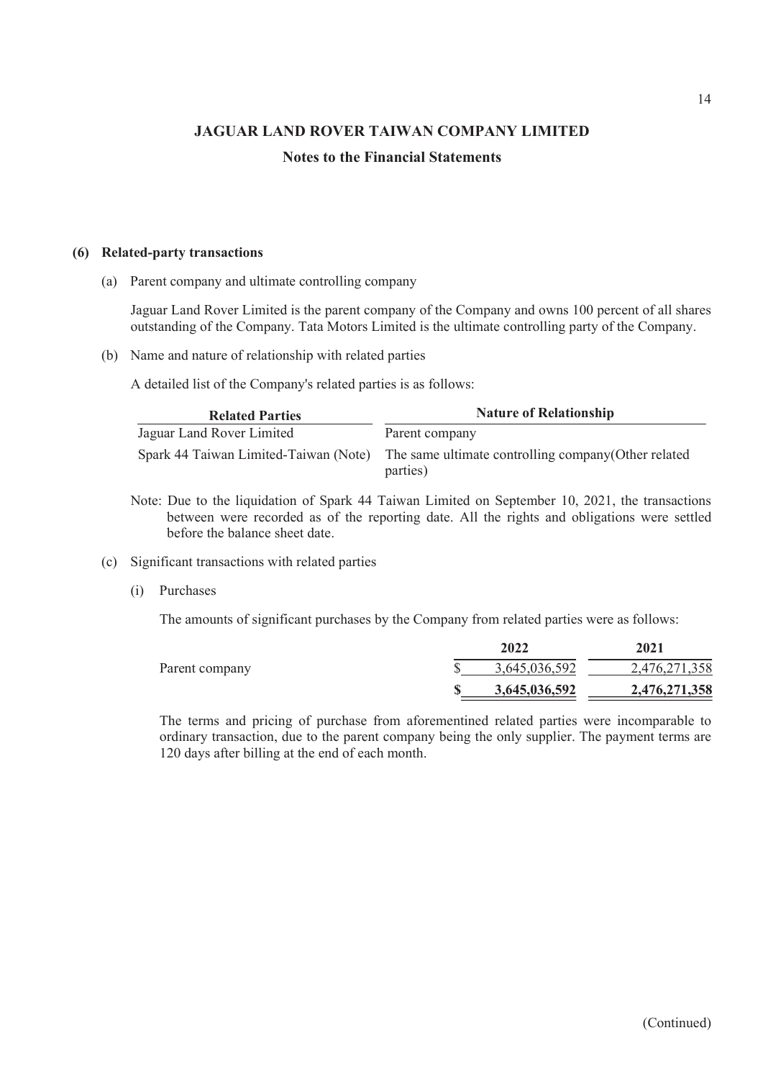## Notes to the Financial Statements

JAGUAR LAND ROVER TAIWAN COMPANY<br>
Notes to the Financial Statements<br>
(6) Related-party transactions<br>
(a) Parent company and ultimate controlling company<br>
Jaguar Land Rover Limited is the parent company of the Company<br>
outs JAGUAR LAND ROVER TAIWAN COMPANY LIM<br>
Notes to the Financial Statements<br>
Related-party transactions<br>
(a) Parent company and ultimate controlling company<br>
Jaguar Land Rover Limited is the parent company of the Company and o Jaguar Land Rover Limited is the parent company of the Company and owns 100 percent of all shares outstanding of the Company. Tata Motors Limited is the ultimate controlling party of the Company.

|     |                                                                                                                                                                                                                                  |                                          |                               | 14            |  |  |  |
|-----|----------------------------------------------------------------------------------------------------------------------------------------------------------------------------------------------------------------------------------|------------------------------------------|-------------------------------|---------------|--|--|--|
|     | <b>JAGUAR LAND ROVER TAIWAN COMPANY LIMITED</b>                                                                                                                                                                                  |                                          |                               |               |  |  |  |
|     |                                                                                                                                                                                                                                  | <b>Notes to the Financial Statements</b> |                               |               |  |  |  |
|     |                                                                                                                                                                                                                                  |                                          |                               |               |  |  |  |
|     | <b>Related-party transactions</b>                                                                                                                                                                                                |                                          |                               |               |  |  |  |
| (a) | Parent company and ultimate controlling company                                                                                                                                                                                  |                                          |                               |               |  |  |  |
|     | Jaguar Land Rover Limited is the parent company of the Company and owns 100 percent of all shares<br>outstanding of the Company. Tata Motors Limited is the ultimate controlling party of the Company.                           |                                          |                               |               |  |  |  |
| (b) | Name and nature of relationship with related parties                                                                                                                                                                             |                                          |                               |               |  |  |  |
|     | A detailed list of the Company's related parties is as follows:                                                                                                                                                                  |                                          |                               |               |  |  |  |
|     | <b>Related Parties</b>                                                                                                                                                                                                           |                                          | <b>Nature of Relationship</b> |               |  |  |  |
|     | Jaguar Land Rover Limited                                                                                                                                                                                                        | Parent company                           |                               |               |  |  |  |
|     | Spark 44 Taiwan Limited-Taiwan (Note)<br>The same ultimate controlling company (Other related<br>parties)                                                                                                                        |                                          |                               |               |  |  |  |
|     | Note: Due to the liquidation of Spark 44 Taiwan Limited on September 10, 2021, the transactions<br>between were recorded as of the reporting date. All the rights and obligations were settled<br>before the balance sheet date. |                                          |                               |               |  |  |  |
| (c) | Significant transactions with related parties                                                                                                                                                                                    |                                          |                               |               |  |  |  |
|     | Purchases<br>(i)                                                                                                                                                                                                                 |                                          |                               |               |  |  |  |
|     | The amounts of significant purchases by the Company from related parties were as follows:                                                                                                                                        |                                          |                               |               |  |  |  |
|     |                                                                                                                                                                                                                                  |                                          | 2022                          | 2021          |  |  |  |
|     |                                                                                                                                                                                                                                  | \$                                       | 3,645,036,592                 | 2,476,271,358 |  |  |  |
|     | Parent company                                                                                                                                                                                                                   |                                          |                               |               |  |  |  |

- Note: Due to the liquidation of Spark 44 Taiwan Limited on September 10, 2021, the transactions between were recorded as of the reporting date. All the rights and obligations were settled before the balance sheet date.
- -

|                | 2022          | 2021          |  |
|----------------|---------------|---------------|--|
| Parent company | 3,645,036,592 | 2,476,271,358 |  |
|                | 3,645,036,592 | 2,476,271,358 |  |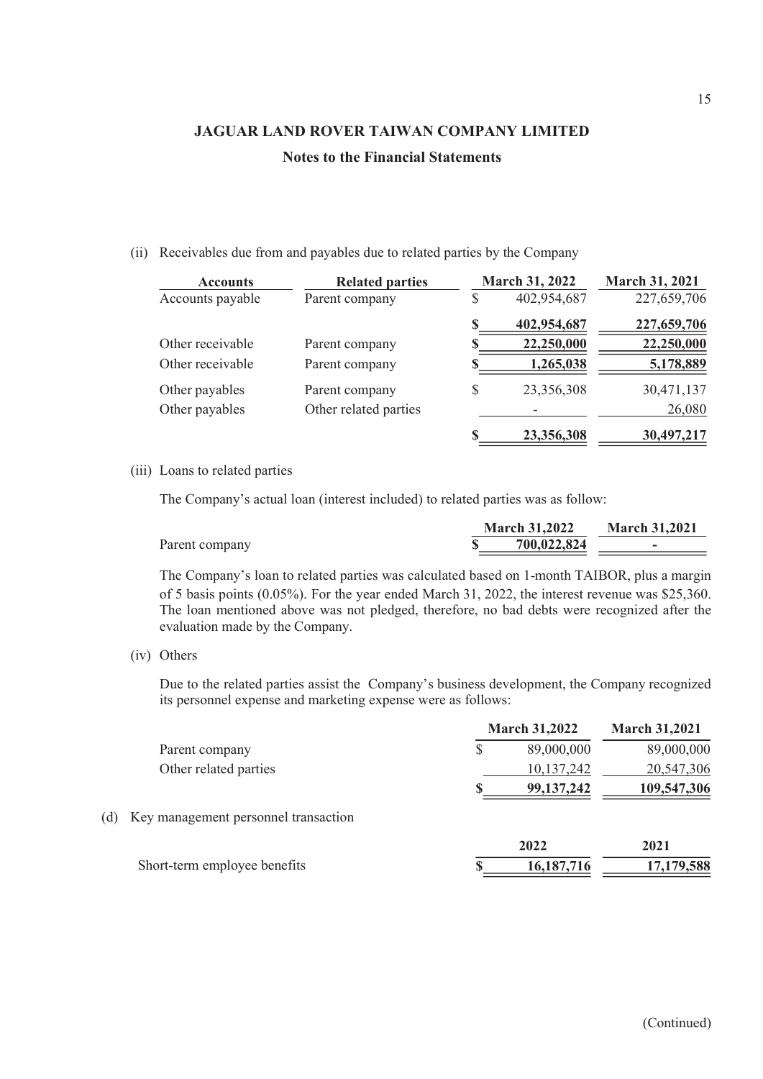|      |                                 |                                                                                                                                                                                                 |                       | 15                   |
|------|---------------------------------|-------------------------------------------------------------------------------------------------------------------------------------------------------------------------------------------------|-----------------------|----------------------|
|      |                                 | <b>JAGUAR LAND ROVER TAIWAN COMPANY LIMITED</b>                                                                                                                                                 |                       |                      |
|      |                                 | <b>Notes to the Financial Statements</b>                                                                                                                                                        |                       |                      |
|      |                                 |                                                                                                                                                                                                 |                       |                      |
|      |                                 |                                                                                                                                                                                                 |                       |                      |
|      |                                 |                                                                                                                                                                                                 |                       |                      |
| (ii) |                                 | Receivables due from and payables due to related parties by the Company                                                                                                                         |                       |                      |
|      | <b>Accounts</b>                 | <b>Related parties</b>                                                                                                                                                                          | <b>March 31, 2022</b> | March 31, 2021       |
|      | Accounts payable                | Parent company                                                                                                                                                                                  | \$<br>402,954,687     | 227,659,706          |
|      |                                 |                                                                                                                                                                                                 | 402,954,687           | 227,659,706          |
|      | Other receivable                | Parent company                                                                                                                                                                                  | 22,250,000            | 22,250,000           |
|      | Other receivable                | Parent company                                                                                                                                                                                  | 1,265,038             | 5,178,889            |
|      | Other payables                  | Parent company                                                                                                                                                                                  | \$<br>23,356,308      | 30,471,137           |
|      | Other payables                  | Other related parties                                                                                                                                                                           |                       | 26,080               |
|      |                                 |                                                                                                                                                                                                 | 23,356,308            | 30,497,217           |
|      | (iii) Loans to related parties  |                                                                                                                                                                                                 |                       |                      |
|      |                                 | The Company's actual loan (interest included) to related parties was as follow:                                                                                                                 |                       |                      |
|      |                                 |                                                                                                                                                                                                 | <b>March 31,2022</b>  | <b>March 31,2021</b> |
|      | Parent company                  |                                                                                                                                                                                                 | 700,022,824           |                      |
|      |                                 | The Company's loan to related parties was calculated based on 1-month TAIBOR, plus a margin<br>of 5 basis points (0.05%). For the year ended March 31, 2022, the interest revenue was \$25,360. |                       |                      |
|      | evaluation made by the Company. | The loan mentioned above was not pledged, therefore, no bad debts were recognized after the                                                                                                     |                       |                      |
|      | (iv) Others                     |                                                                                                                                                                                                 |                       |                      |
|      |                                 | Due to the related parties assist the Company's business development, the Company recognized<br>its personnel expense and marketing expense were as follows:                                    |                       |                      |
|      |                                 |                                                                                                                                                                                                 | <b>March 31,2022</b>  | <b>March 31,2021</b> |

|                | <b>March 31,2022</b> | <b>March 31,2021</b> |  |
|----------------|----------------------|----------------------|--|
| Parent company | 700,022,824          | -                    |  |

|     |      |                                                                                                                                                                                                                                                                                                                                   |              | 23,356,308                          | 30,497,217           |
|-----|------|-----------------------------------------------------------------------------------------------------------------------------------------------------------------------------------------------------------------------------------------------------------------------------------------------------------------------------------|--------------|-------------------------------------|----------------------|
|     |      | (iii) Loans to related parties                                                                                                                                                                                                                                                                                                    |              |                                     |                      |
|     |      | The Company's actual loan (interest included) to related parties was as follow:                                                                                                                                                                                                                                                   |              |                                     |                      |
|     |      | Parent company                                                                                                                                                                                                                                                                                                                    |              | <b>March 31,2022</b><br>700,022,824 | <b>March 31,2021</b> |
|     |      | The Company's loan to related parties was calculated based on 1-month TAIBOR, plus a margin<br>of 5 basis points (0.05%). For the year ended March 31, 2022, the interest revenue was \$25,360.<br>The loan mentioned above was not pledged, therefore, no bad debts were recognized after the<br>evaluation made by the Company. |              |                                     |                      |
|     | (iv) | Others                                                                                                                                                                                                                                                                                                                            |              |                                     |                      |
|     |      | Due to the related parties assist the Company's business development, the Company recognized<br>its personnel expense and marketing expense were as follows:                                                                                                                                                                      |              |                                     |                      |
|     |      |                                                                                                                                                                                                                                                                                                                                   |              | <b>March 31,2022</b>                | <b>March 31,2021</b> |
|     |      | Parent company                                                                                                                                                                                                                                                                                                                    | $\mathbb{S}$ | 89,000,000                          | 89,000,000           |
|     |      | Other related parties                                                                                                                                                                                                                                                                                                             |              | 10,137,242                          | 20,547,306           |
|     |      |                                                                                                                                                                                                                                                                                                                                   |              | 99,137,242                          | 109,547,306          |
| (d) |      | Key management personnel transaction                                                                                                                                                                                                                                                                                              |              |                                     |                      |
|     |      |                                                                                                                                                                                                                                                                                                                                   |              | 2022                                | 2021                 |
|     |      | Short-term employee benefits                                                                                                                                                                                                                                                                                                      |              | 16,187,716                          | 17,179,588           |
|     |      |                                                                                                                                                                                                                                                                                                                                   |              |                                     |                      |
|     |      |                                                                                                                                                                                                                                                                                                                                   |              |                                     |                      |
|     |      |                                                                                                                                                                                                                                                                                                                                   |              |                                     |                      |